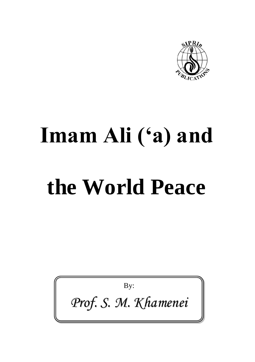

By:

*Prof. S. M. Khamenei*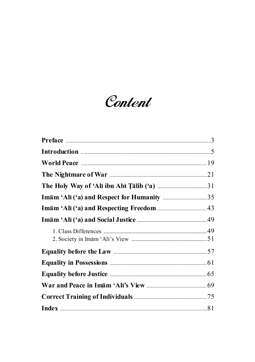Content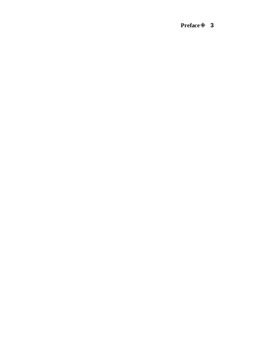### **Preface 3**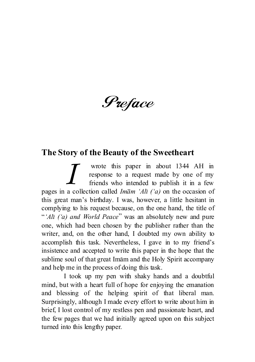Preface

### **The Story of the Beauty of the Sweetheart**

wrote this paper in about 1344 AH in response to a request made by one of my friends who intended to publish it in a few pages in a collection called *Imàm 'Alí ('a)* on the occasion of this great man's birthday. I was, however, a little hesitant in complying to his request because, on the one hand, the title of '*'Alí ('a) and World Peace*' was an absolutely new and pure one, which had been chosen by the publisher rather than the writer, and, on the other hand, I doubted my own ability to accomplish this task. Nevertheless, I gave in to my friend's insistence and accepted to write this paper in the hope that the sublime soul of that great Imàm and the Holy Spirit accompany and help me in the process of doing this task. *I*

I took up my pen with shaky hands and a doubtful mind, but with a heart full of hope for enjoying the emanation and blessing of the helping spirit of that liberal man. Surprisingly, although I made every effort to write about him in brief, I lost control of my restless pen and passionate heart, and the few pages that we had initially agreed upon on this subject turned into this lengthy paper.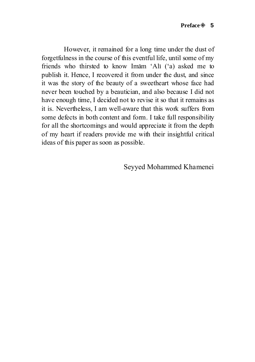However, it remained for a long time under the dust of forgetfulness in the course of this eventful life, until some of my friends who thirsted to know Imàm 'Alí ('a) asked me to publish it. Hence, I recovered it from under the dust, and since it was the story of the beauty of a sweetheart whose face had never been touched by a beautician, and also because I did not have enough time, I decided not to revise it so that it remains as it is. Nevertheless, I am well-aware that this work suffers from some defects in both content and form. I take full responsibility for all the shortcomings and would appreciate it from the depth of my heart if readers provide me with their insightful critical ideas of this paper as soon as possible.

Seyyed Mohammed Khamenei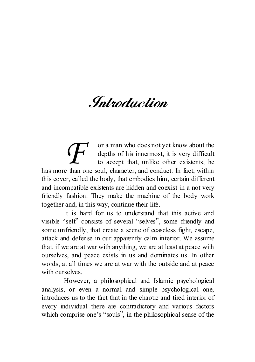Introduction

or a man who does not yet know about the depths of his innermost, it is very difficult to accept that, unlike other existents, he or a man who does not yet know about the depths of his innermost, it is very difficult to accept that, unlike other existents, he has more than one soul, character, and conduct. In fact, within this cover, called the body, that embodies him, certain different and incompatible existents are hidden and coexist in a not very friendly fashion. They make the machine of the body work together and, in this way, continue their life.

It is hard for us to understand that this active and visible 'self' consists of several 'selves', some friendly and some unfriendly, that create a scene of ceaseless fight, escape, attack and defense in our apparently calm interior. We assume that, if we are at war with anything, we are at least at peace with ourselves, and peace exists in us and dominates us. In other words, at all times we are at war with the outside and at peace with ourselves.

However, a philosophical and Islamic psychological analysis, or even a normal and simple psychological one, introduces us to the fact that in the chaotic and tired interior of every individual there are contradictory and various factors which comprise one's "souls", in the philosophical sense of the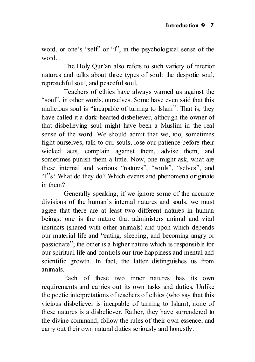word, or one's "self" or "I", in the psychological sense of the word.

The Holy Qur'an also refers to such variety of interior natures and talks about three types of soul: the despotic soul, reproachful soul, and peaceful soul.

Teachers of ethics have always warned us against the 'soul', in other words, ourselves. Some have even said that this malicious soul is 'incapable of turning to Islam'. That is, they have called it a dark-hearted disbeliever, although the owner of that disbelieving soul might have been a Muslim in the real sense of the word. We should admit that we, too, sometimes fight ourselves, talk to our souls, lose our patience before their wicked acts, complain against them, advise them, and sometimes punish them a little. Now, one might ask, what are these internal and various 'natures', 'souls', 'selves', and 'I's? What do they do? Which events and phenomena originate in them?

Generally speaking, if we ignore some of the accurate divisions of the human's internal natures and souls, we must agree that there are at least two different natures in human beings: one is the nature that administers animal and vital instincts (shared with other animals) and upon which depends our material life and 'eating, sleeping, and becoming angry or passionate'; the other is a higher nature which is responsible for our spiritual life and controls our true happiness and mental and scientific growth. In fact, the latter distinguishes us from animals.

Each of these two inner natures has its own requirements and carries out its own tasks and duties. Unlike the poetic interpretations of teachers of ethics (who say that this vicious disbeliever is incapable of turning to Islam), none of these natures is a disbeliever. Rather, they have surrendered to the divine command, follow the rules of their own essence, and carry out their own natural duties seriously and honestly.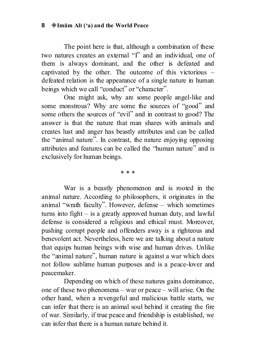The point here is that, although a combination of these two natures creates an external 'I' and an individual, one of them is always dominant, and the other is defeated and captivated by the other. The outcome of this victorious – defeated relation is the appearance of a single nature in human beings which we call "conduct" or "character".

One might ask, why are some people angel-like and some monstrous? Why are some the sources of 'good' and some others the sources of 'evil' and in contrast to good? The answer is that the nature that man shares with animals and creates lust and anger has beastly attributes and can be called the 'animal nature'. In contrast, the nature enjoying opposing attributes and features can be called the 'human nature' and is exclusively for human beings.

\* \* \*

War is a beastly phenomenon and is rooted in the animal nature. According to philosophers, it originates in the animal 'wrath faculty'. However, defense – which sometimes turns into fight – is a greatly approved human duty, and lawful defense is considered a religious and ethical must. Moreover, pushing corrupt people and offenders away is a righteous and benevolent act. Nevertheless, here we are talking about a nature that equips human beings with wise and human drives. Unlike the 'animal nature', human nature is against a war which does not follow sublime human purposes and is a peace-lover and peacemaker.

Depending on which of these natures gains dominance, one of these two phenomena – war or peace – will arise. On the other hand, when a revengeful and malicious battle starts, we can infer that there is an animal soul behind it creating the fire of war. Similarly, if true peace and friendship is established, we can infer that there is a human nature behind it.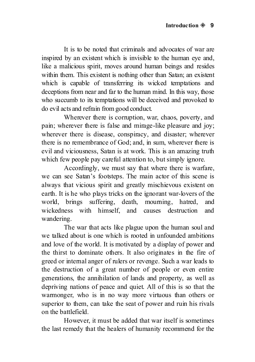It is to be noted that criminals and advocates of war are inspired by an existent which is invisible to the human eye and, like a malicious spirit, moves around human beings and resides within them. This existent is nothing other than Satan; an existent which is capable of transferring its wicked temptations and deceptions from near and far to the human mind. In this way, those who succumb to its temptations will be deceived and provoked to do evil acts and refrain from good conduct.

Wherever there is corruption, war, chaos, poverty, and pain; wherever there is false and mirage-like pleasure and joy; wherever there is disease, conspiracy, and disaster; wherever there is no remembrance of God; and, in sum, wherever there is evil and viciousness, Satan is at work. This is an amazing truth which few people pay careful attention to, but simply ignore.

Accordingly, we must say that where there is warfare, we can see Satan's footsteps. The main actor of this scene is always that vicious spirit and greatly mischievous existent on earth. It is he who plays tricks on the ignorant war-lovers of the world, brings suffering, death, mourning, hatred, and wickedness with himself, and causes destruction and wandering.

The war that acts like plague upon the human soul and we talked about is one which is rooted in unfounded ambitions and love of the world. It is motivated by a display of power and the thirst to dominate others. It also originates in the fire of greed or internal anger of rulers or revenge. Such a war leads to the destruction of a great number of people or even entire generations, the annihilation of lands and property, as well as depriving nations of peace and quiet. All of this is so that the warmonger, who is in no way more virtuous than others or superior to them, can take the seat of power and ruin his rivals on the battlefield.

However, it must be added that war itself is sometimes the last remedy that the healers of humanity recommend for the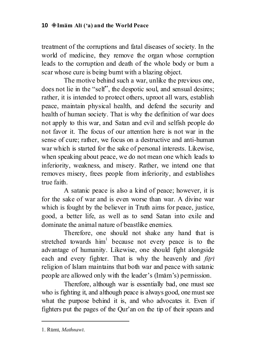treatment of the corruptions and fatal diseases of society. In the world of medicine, they remove the organ whose corruption leads to the corruption and death of the whole body or burn a scar whose cure is being burnt with a blazing object.

The motive behind such a war, unlike the previous one, does not lie in the "self", the despotic soul, and sensual desires; rather, it is intended to protect others, uproot all wars, establish peace, maintain physical health, and defend the security and health of human society. That is why the definition of war does not apply to this war, and Satan and evil and selfish people do not favor it. The focus of our attention here is not war in the sense of cure; rather, we focus on a destructive and anti-human war which is started for the sake of personal interests. Likewise, when speaking about peace, we do not mean one which leads to inferiority, weakness, and misery. Rather, we intend one that removes misery, frees people from inferiority, and establishes true faith.

A satanic peace is also a kind of peace; however, it is for the sake of war and is even worse than war. A divine war which is fought by the believer in Truth aims for peace, justice, good, a better life, as well as to send Satan into exile and dominate the animal nature of beastlike enemies.

Therefore, one should not shake any hand that is stretched towards  $\text{him}^1$  because not every peace is to the advantage of humanity. Likewise, one should fight alongside each and every fighter. That is why the heavenly and *fiìrí* religion of Islam maintains that both war and peace with satanic people are allowed only with the leader's (Imàm's) permission.

Therefore, although war is essentially bad, one must see who is fighting it, and although peace is always good, one must see what the purpose behind it is, and who advocates it. Even if fighters put the pages of the Qur'an on the tip of their spears and

<sup>1.</sup> Rêmí, *Mathnawí*.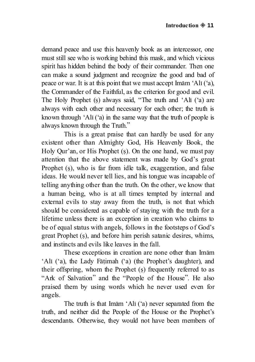demand peace and use this heavenly book as an intercessor, one must still see who is working behind this mask, and which vicious spirit has hidden behind the body of their commander. Then one can make a sound judgment and recognize the good and bad of peace or war. It is at this point that we must accept Imàm 'Alí ('a), the Commander of the Faithful, as the criterion for good and evil. The Holy Prophet (æ) always said, 'The truth and 'Alí ('a) are always with each other and necessary for each other; the truth is known through 'Alí ('a) in the same way that the truth of people is always known through the Truth.'

This is a great praise that can hardly be used for any existent other than Almighty God, His Heavenly Book, the Holy Our'an, or His Prophet (s). On the one hand, we must pay attention that the above statement was made by God's great Prophet (s), who is far from idle talk, exaggeration, and false ideas. He would never tell lies, and his tongue was incapable of telling anything other than the truth. On the other, we know that a human being, who is at all times tempted by internal and external evils to stay away from the truth, is not that which should be considered as capable of staying with the truth for a lifetime unless there is an exception in creation who claims to be of equal status with angels, follows in the footsteps of God's great Prophet (s), and before him perish satanic desires, whims, and instincts and evils like leaves in the fall.

These exceptions in creation are none other than Imàm 'Ali ('a), the Lady Fātimah ('a) (the Prophet's daughter), and their offspring, whom the Prophet (s) frequently referred to as 'Ark of Salvation' and the 'People of the House'. He also praised them by using words which he never used even for angels.

The truth is that Imàm 'Alí ('a) never separated from the truth, and neither did the People of the House or the Prophet's descendants. Otherwise, they would not have been members of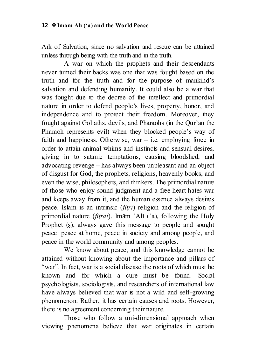Ark of Salvation, since no salvation and rescue can be attained unless through being with the truth and in the truth.

A war on which the prophets and their descendants never turned their backs was one that was fought based on the truth and for the truth and for the purpose of mankind's salvation and defending humanity. It could also be a war that was fought due to the decree of the intellect and primordial nature in order to defend people's lives, property, honor, and independence and to protect their freedom. Moreover, they fought against Goliaths, devils, and Pharaohs (in the Qur'an the Pharaoh represents evil) when they blocked people's way of faith and happiness. Otherwise, war  $-$  i.e. employing force in order to attain animal whims and instincts and sensual desires, giving in to satanic temptations, causing bloodshed, and advocating revenge – has always been unpleasant and an object of disgust for God, the prophets, religions, heavenly books, and even the wise, philosophers, and thinkers. The primordial nature of those who enjoy sound judgment and a free heart hates war and keeps away from it, and the human essence always desires peace. Islam is an intrinsic (*fiìrí*) religion and the religion of primordial nature (*fiìrat*). Imàm 'Alí ('a), following the Holy Prophet (s), always gave this message to people and sought peace: peace at home, peace in society and among people, and peace in the world community and among peoples.

We know about peace, and this knowledge cannot be attained without knowing about the importance and pillars of 'war'. In fact, war is a social disease the roots of which must be known and for which a cure must be found. Social psychologists, sociologists, and researchers of international law have always believed that war is not a wild and self-growing phenomenon. Rather, it has certain causes and roots. However, there is no agreement concerning their nature.

Those who follow a uni-dimensional approach when viewing phenomena believe that war originates in certain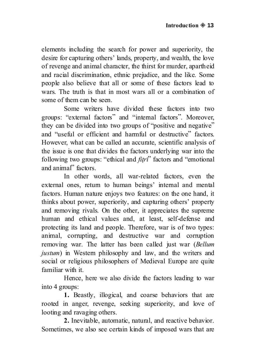elements including the search for power and superiority, the desire for capturing others' lands, property, and wealth, the love of revenge and animal character, the thirst for murder, apartheid and racial discrimination, ethnic prejudice, and the like. Some people also believe that all or some of these factors lead to wars. The truth is that in most wars all or a combination of some of them can be seen.

Some writers have divided these factors into two groups: 'external factors' and 'internal factors'. Moreover, they can be divided into two groups of 'positive and negative' and 'useful or efficient and harmful or destructive' factors. However, what can be called an accurate, scientific analysis of the issue is one that divides the factors underlying war into the following two groups: "ethical and *fitri*" factors and "emotional and animal' factors.

In other words, all war-related factors, even the external ones, return to human beings' internal and mental factors. Human nature enjoys two features: on the one hand, it thinks about power, superiority, and capturing others' property and removing rivals. On the other, it appreciates the supreme human and ethical values and, at least, self-defense and protecting its land and people. Therefore, war is of two types: animal, corrupting, and destructive war and corruption removing war. The latter has been called just war (*Bellum justum*) in Western philosophy and law, and the writers and social or religious philosophers of Medieval Europe are quite familiar with it.

Hence, here we also divide the factors leading to war into 4 groups:

**1.** Beastly, illogical, and coarse behaviors that are rooted in anger, revenge, seeking superiority, and love of looting and ravaging others.

**2.** Inevitable, automatic, natural, and reactive behavior. Sometimes, we also see certain kinds of imposed wars that are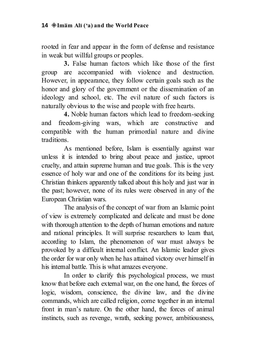rooted in fear and appear in the form of defense and resistance in weak but willful groups or peoples.

**3.** False human factors which like those of the first group are accompanied with violence and destruction. However, in appearance, they follow certain goals such as the honor and glory of the government or the dissemination of an ideology and school, etc. The evil nature of such factors is naturally obvious to the wise and people with free hearts.

**4.** Noble human factors which lead to freedom-seeking and freedom-giving wars, which are constructive and compatible with the human primordial nature and divine traditions.

As mentioned before, Islam is essentially against war unless it is intended to bring about peace and justice, uproot cruelty, and attain supreme human and true goals. This is the very essence of holy war and one of the conditions for its being just. Christian thinkers apparently talked about this holy and just war in the past; however, none of its rules were observed in any of the European Christian wars.

The analysis of the concept of war from an Islamic point of view is extremely complicated and delicate and must be done with thorough attention to the depth of human emotions and nature and rational principles. It will surprise researchers to learn that, according to Islam, the phenomenon of war must always be provoked by a difficult internal conflict. An Islamic leader gives the order for war only when he has attained victory over himself in his internal battle. This is what amazes everyone.

In order to clarify this psychological process, we must know that before each external war, on the one hand, the forces of logic, wisdom, conscience, the divine law, and the divine commands, which are called religion, come together in an internal front in man's nature. On the other hand, the forces of animal instincts, such as revenge, wrath, seeking power, ambitiousness,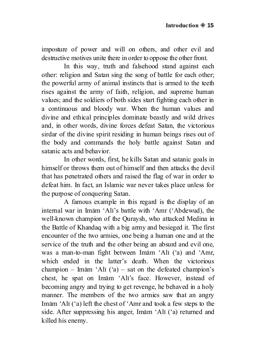imposture of power and will on others, and other evil and destructive motives unite there in order to oppose the other front.

In this way, truth and falsehood stand against each other: religion and Satan sing the song of battle for each other; the powerful army of animal instincts that is armed to the teeth rises against the army of faith, religion, and supreme human values; and the soldiers of both sides start fighting each other in a continuous and bloody war. When the human values and divine and ethical principles dominate beastly and wild drives and, in other words, divine forces defeat Satan, the victorious sirdar of the divine spirit residing in human beings rises out of the body and commands the holy battle against Satan and satanic acts and behavior.

In other words, first, he kills Satan and satanic goals in himself or throws them out of himself and then attacks the devil that has penetrated others and raised the flag of war in order to defeat him. In fact, an Islamic war never takes place unless for the purpose of conquering Satan.

A famous example in this regard is the display of an internal war in Imàm 'Alí's battle with 'Amr ('Abdewud), the well-known champion of the Quraysh, who attacked Medina in the Battle of Khandaq with a big army and besieged it. The first encounter of the two armies, one being a human one and at the service of the truth and the other being an absurd and evil one, was a man-to-man fight between Imàm 'Alí ('a) and 'Amr, which ended in the latter's death. When the victorious champion – Imàm 'Alí ('a) – sat on the defeated champion's chest, he spat on Imàm 'Alí's face. However, instead of becoming angry and trying to get revenge, he behaved in a holy manner. The members of the two armies saw that an angry Imàm 'Alí ('a) left the chest of 'Amr and took a few steps to the side. After suppressing his anger, Imàm 'Alí ('a) returned and killed his enemy.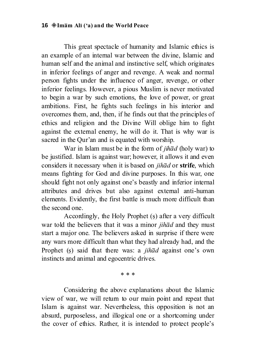This great spectacle of humanity and Islamic ethics is an example of an internal war between the divine, Islamic and human self and the animal and instinctive self, which originates in inferior feelings of anger and revenge. A weak and normal person fights under the influence of anger, revenge, or other inferior feelings. However, a pious Muslim is never motivated to begin a war by such emotions, the love of power, or great ambitions. First, he fights such feelings in his interior and overcomes them, and, then, if he finds out that the principles of ethics and religion and the Divine Will oblige him to fight against the external enemy, he will do it. That is why war is sacred in the Our'an and is equated with worship.

War in Islam must be in the form of *jihàd* (holy war) to be justified. Islam is against war; however, it allows it and even considers it necessary when it is based on *jihàd* or **strife**, which means fighting for God and divine purposes. In this war, one should fight not only against one's beastly and inferior internal attributes and drives but also against external anti-human elements. Evidently, the first battle is much more difficult than the second one.

Accordingly, the Holy Prophet (s) after a very difficult war told the believers that it was a minor *jihàd* and they must start a major one. The believers asked in surprise if there were any wars more difficult than what they had already had, and the Prophet (s) said that there was: a *jihad* against one's own instincts and animal and egocentric drives.

\* \* \*

Considering the above explanations about the Islamic view of war, we will return to our main point and repeat that Islam is against war. Nevertheless, this opposition is not an absurd, purposeless, and illogical one or a shortcoming under the cover of ethics. Rather, it is intended to protect people's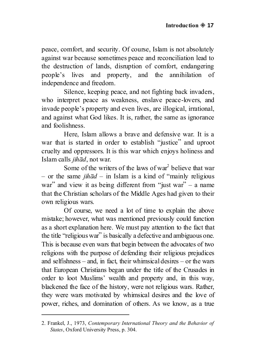peace, comfort, and security. Of course, Islam is not absolutely against war because sometimes peace and reconciliation lead to the destruction of lands, disruption of comfort, endangering people's lives and property, and the annihilation of independence and freedom.

Silence, keeping peace, and not fighting back invaders, who interpret peace as weakness, enslave peace-lovers, and invade people's property and even lives, are illogical, irrational, and against what God likes. It is, rather, the same as ignorance and foolishness.

Here, Islam allows a brave and defensive war. It is a war that is started in order to establish "justice" and uproot cruelty and oppressors. It is this war which enjoys holiness and Islam calls *jihàd*, not war.

Some of the writers of the laws of war<sup>2</sup> believe that war – or the same  $j\hbar\bar{a}d$  – in Islam is a kind of "mainly religious" war" and view it as being different from "just war" – a name that the Christian scholars of the Middle Ages had given to their own religious wars.

Of course, we need a lot of time to explain the above mistake; however, what was mentioned previously could function as a short explanation here. We must pay attention to the fact that the title 'religious war' is basically a defective and ambiguous one. This is because even wars that begin between the advocates of two religions with the purpose of defending their religious prejudices and selfishness – and, in fact, their whimsical desires – or the wars that European Christians began under the title of the Crusades in order to loot Muslims' wealth and property and, in this way, blackened the face of the history, were not religious wars. Rather, they were wars motivated by whimsical desires and the love of power, riches, and domination of others. As we know, as a true

<sup>2.</sup> Frankel, J., 1973, *Contemporary International Theory and the Behavior of States*, Oxford University Press, p. 304.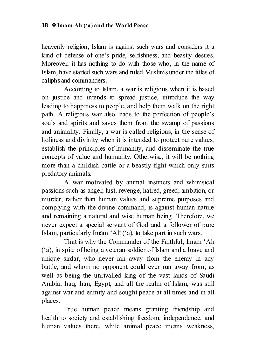heavenly religion, Islam is against such wars and considers it a kind of defense of one's pride, selfishness, and beastly desires. Moreover, it has nothing to do with those who, in the name of Islam, have started such wars and ruled Muslims under the titles of caliphs and commanders.

According to Islam, a war is religious when it is based on justice and intends to spread justice, introduce the way leading to happiness to people, and help them walk on the right path. A religious war also leads to the perfection of people's souls and spirits and saves them from the swamp of passions and animality. Finally, a war is called religious, in the sense of holiness and divinity when it is intended to protect pure values, establish the principles of humanity, and disseminate the true concepts of value and humanity. Otherwise, it will be nothing more than a childish battle or a beastly fight which only suits predatory animals.

A war motivated by animal instincts and whimsical passions such as anger, lust, revenge, hatred, greed, ambition, or murder, rather than human values and supreme purposes and complying with the divine command, is against human nature and remaining a natural and wise human being. Therefore, we never expect a special servant of God and a follower of pure Islam, particularly Imàm 'Alí ('a), to take part in such wars.

That is why the Commander of the Faithful, Imàm 'Alí ('a), in spite of being a veteran soldier of Islam and a brave and unique sirdar, who never ran away from the enemy in any battle, and whom no opponent could ever run away from, as well as being the unrivalled king of the vast lands of Saudi Arabia, Iraq, Iran, Egypt, and all the realm of Islam, was still against war and enmity and sought peace at all times and in all places.

True human peace means granting friendship and health to society and establishing freedom, independence, and human values there, while animal peace means weakness,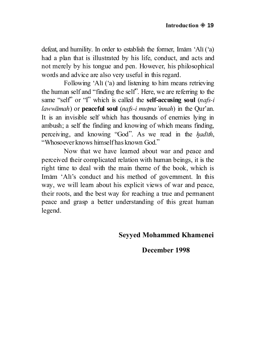defeat, and humility. In order to establish the former, Imàm 'Alí ('a) had a plan that is illustrated by his life, conduct, and acts and not merely by his tongue and pen. However, his philosophical words and advice are also very useful in this regard.

Following 'Alí ('a) and listening to him means retrieving the human self and 'finding the self'. Here, we are referring to the same 'self' or 'I' which is called the **self-accusing soul** (*nafs-i lawwàmah*) or **peaceful soul** (*nafs-i muìma'innah*) in the Qur'an. It is an invisible self which has thousands of enemies lying in ambush; a self the finding and knowing of which means finding, perceiving, and knowing 'God'. As we read in the *åadíth*, 'Whosoever knows himself has known God.'

Now that we have learned about war and peace and perceived their complicated relation with human beings, it is the right time to deal with the main theme of the book, which is Imàm 'Alí's conduct and his method of government. In this way, we will learn about his explicit views of war and peace, their roots, and the best way for reaching a true and permanent peace and grasp a better understanding of this great human legend.

### **Seyyed Mohammed Khamenei**

**December 1998**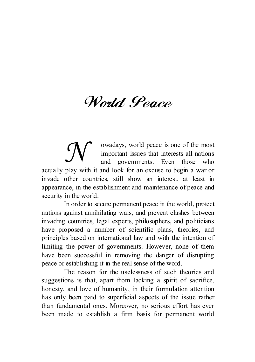### World Peace

owadays, world peace is one of the most important issues that interests all nations and governments. Even those who actually play with it and look for an excuse to begin a war or invade other countries, still show an interest, at least in appearance, in the establishment and maintenance of peace and security in the world. *N*

In order to secure permanent peace in the world, protect nations against annihilating wars, and prevent clashes between invading countries, legal experts, philosophers, and politicians have proposed a number of scientific plans, theories, and principles based on international law and with the intention of limiting the power of governments. However, none of them have been successful in removing the danger of disrupting peace or establishing it in the real sense of the word.

The reason for the uselessness of such theories and suggestions is that, apart from lacking a spirit of sacrifice, honesty, and love of humanity, in their formulation attention has only been paid to superficial aspects of the issue rather than fundamental ones. Moreover, no serious effort has ever been made to establish a firm basis for permanent world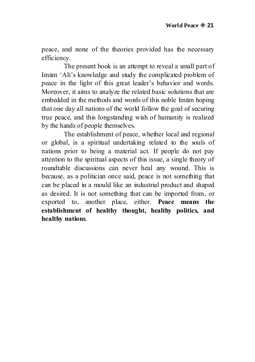peace, and none of the theories provided has the necessary efficiency.

The present book is an attempt to reveal a small part of Imàm 'Alí's knowledge and study the complicated problem of peace in the light of this great leader's behavior and words. Moreover, it aims to analyze the related basic solutions that are embedded in the methods and words of this noble Imàm hoping that one day all nations of the world follow the goal of securing true peace, and this longstanding wish of humanity is realized by the hands of people themselves.

The establishment of peace, whether local and regional or global, is a spiritual undertaking related to the souls of nations prior to being a material act. If people do not pay attention to the spiritual aspects of this issue, a single theory of roundtable discussions can never heal any wound. This is because, as a politician once said, peace is not something that can be placed in a mould like an industrial product and shaped as desired. It is not something that can be imported from, or exported to, another place, either. **Peace means the establishment of healthy thought, healthy politics, and healthy nations**.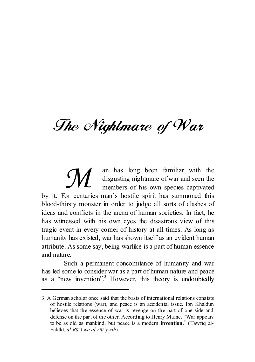### The Nightmare of War

an has long been familiar with the disgusting nightmare of war and seen the members of his own species captivated by it. For centuries man's hostile spirit has summoned this blood-thirsty monster in order to judge all sorts of clashes of ideas and conflicts in the arena of human societies. In fact, he has witnessed with his own eyes the disastrous view of this tragic event in every corner of history at all times. As long as humanity has existed, war has shown itself as an evident human attribute. As some say, being warlike is a part of human essence and nature. *M*

Such a permanent concomitance of humanity and war has led some to consider war as a part of human nature and peace as a 'new invention'. <sup>3</sup> However, this theory is undoubtedly

<sup>3.</sup> A German scholar once said that the basis of international relations consists of hostile relations (war), and peace is an accidental issue. Ibn Khaldên believes that the essence of war is revenge on the part of one side and defense on the part of the other. According to Henry Maine, 'War appears to be as old as mankind, but peace is a modern **invention**.' (Tawfíq al-Fakíkí, *al-Rà'í wa al-rài'yyah*)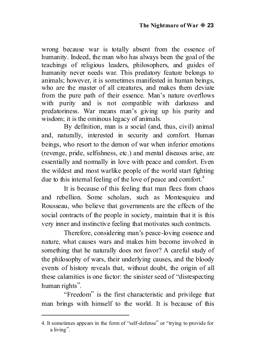wrong because war is totally absent from the essence of humanity. Indeed, the man who has always been the goal of the teachings of religious leaders, philosophers, and guides of humanity never needs war. This predatory feature belongs to animals; however, it is sometimes manifested in human beings, who are the master of all creatures, and makes them deviate from the pure path of their essence. Man's nature overflows with purity and is not compatible with darkness and predatoriness. War means man's giving up his purity and wisdom; it is the ominous legacy of animals.

By definition, man is a social (and, thus, civil) animal and, naturally, interested in security and comfort. Human beings, who resort to the demon of war when inferior emotions (revenge, pride, selfishness, etc.) and mental diseases arise, are essentially and normally in love with peace and comfort. Even the wildest and most warlike people of the world start fighting due to this internal feeling of the love of peace and comfort.<sup>4</sup>

It is because of this feeling that man flees from chaos and rebellion. Some scholars, such as Montesquieu and Rousseau, who believe that governments are the effects of the social contracts of the people in society, maintain that it is this very inner and instinctive feeling that motivates such contracts.

Therefore, considering man's peace-loving essence and nature, what causes wars and makes him become involved in something that he naturally does not favor? A careful study of the philosophy of wars, their underlying causes, and the bloody events of history reveals that, without doubt, the origin of all these calamities is one factor: the sinister seed of 'disrespecting human rights'.

'Freedom' is the first characteristic and privilege that man brings with himself to the world. It is because of this

<sup>4</sup>. It sometimes appears in the form of 'self-defense' or 'trying to provide for a living'.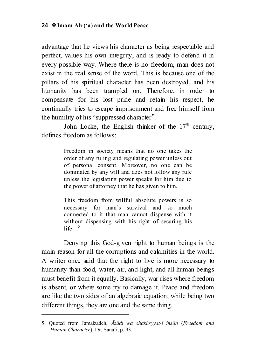advantage that he views his character as being respectable and perfect, values his own integrity, and is ready to defend it in every possible way. Where there is no freedom, man does not exist in the real sense of the word. This is because one of the pillars of his spiritual character has been destroyed, and his humanity has been trampled on. Therefore, in order to compensate for his lost pride and retain his respect, he continually tries to escape imprisonment and free himself from the humility of his 'suppressed character'.

John Locke, the English thinker of the  $17<sup>th</sup>$  century, defines freedom as follows:

> Freedom in society means that no one takes the order of any ruling and regulating power unless out of personal consent. Moreover, no one can be dominated by any will and does not follow any rule unless the legislating power speaks for him due to the power of attorney that he has given to him.

> This freedom from willful absolute powers is so necessary for man's survival and so much connected to it that man cannot dispense with it without dispensing with his right of securing his life $\frac{5}{2}$

Denying this God-given right to human beings is the main reason for all the corruptions and calamities in the world. A writer once said that the right to live is more necessary to humanity than food, water, air, and light, and all human beings must benefit from it equally. Basically, war rises where freedom is absent, or where some try to damage it. Peace and freedom are like the two sides of an algebraic equation; while being two different things, they are one and the same thing.

<sup>5.</sup> Quoted from Jamalzadeh, *Āzàdí wa shakhsyyat-i insàn* (*Freedom and Human Character*), Dr. Sana'i, p. 93.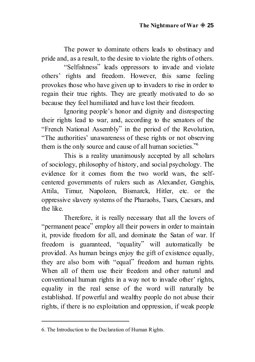The power to dominate others leads to obstinacy and pride and, as a result, to the desire to violate the rights of others.

'Selfishness' leads oppressors to invade and violate others' rights and freedom. However, this same feeling provokes those who have given up to invaders to rise in order to regain their true rights. They are greatly motivated to do so because they feel humiliated and have lost their freedom.

Ignoring people's honor and dignity and disrespecting their rights lead to war, and, according to the senators of the 'French National Assembly' in the period of the Revolution, 'The authorities' unawareness of these rights or not observing them is the only source and cause of all human societies."<sup>6</sup>

This is a reality unanimously accepted by all scholars of sociology, philosophy of history, and social psychology. The evidence for it comes from the two world wars, the selfcentered governments of rulers such as Alexander, Genghis, Attila, Timur, Napoleon, Bismarck, Hitler, etc. or the oppressive slavery systems of the Pharaohs, Tsars, Caesars, and the like.

Therefore, it is really necessary that all the lovers of 'permanent peace' employ all their powers in order to maintain it, provide freedom for all, and dominate the Satan of war. If freedom is guaranteed, 'equality' will automatically be provided. As human beings enjoy the gift of existence equally, they are also born with 'equal' freedom and human rights. When all of them use their freedom and other natural and conventional human rights in a way not to invade other' rights, equality in the real sense of the word will naturally be established. If powerful and wealthy people do not abuse their rights, if there is no exploitation and oppression, if weak people

<sup>6.</sup> The Introduction to the Declaration of Human Rights.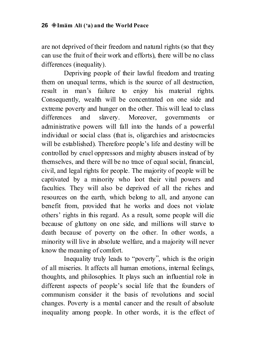are not deprived of their freedom and natural rights (so that they can use the fruit of their work and efforts), there will be no class differences (inequality).

Depriving people of their lawful freedom and treating them on unequal terms, which is the source of all destruction, result in man's failure to enjoy his material rights. Consequently, wealth will be concentrated on one side and extreme poverty and hunger on the other. This will lead to class differences and slavery. Moreover, governments or administrative powers will fall into the hands of a powerful individual or social class (that is, oligarchies and aristocracies will be established). Therefore people's life and destiny will be controlled by cruel oppressors and mighty abusers instead of by themselves, and there will be no trace of equal social, financial, civil, and legal rights for people. The majority of people will be captivated by a minority who loot their vital powers and faculties. They will also be deprived of all the riches and resources on the earth, which belong to all, and anyone can benefit from, provided that he works and does not violate others' rights in this regard. As a result, some people will die because of gluttony on one side, and millions will starve to death because of poverty on the other. In other words, a minority will live in absolute welfare, and a majority will never know the meaning of comfort.

Inequality truly leads to 'poverty', which is the origin of all miseries. It affects all human emotions, internal feelings, thoughts, and philosophies. It plays such an influential role in different aspects of people's social life that the founders of communism consider it the basis of revolutions and social changes. Poverty is a mental cancer and the result of absolute inequality among people. In other words, it is the effect of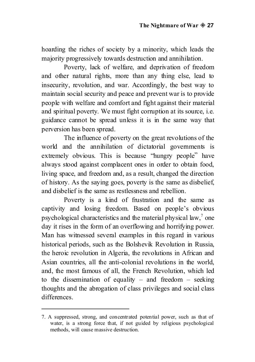hoarding the riches of society by a minority, which leads the majority progressively towards destruction and annihilation.

Poverty, lack of welfare, and deprivation of freedom and other natural rights, more than any thing else, lead to insecurity, revolution, and war. Accordingly, the best way to maintain social security and peace and prevent war is to provide people with welfare and comfort and fight against their material and spiritual poverty. We must fight corruption at its source, i.e. guidance cannot be spread unless it is in the same way that perversion has been spread.

The influence of poverty on the great revolutions of the world and the annihilation of dictatorial governments is extremely obvious. This is because 'hungry people' have always stood against complacent ones in order to obtain food, living space, and freedom and, as a result, changed the direction of history. As the saying goes, poverty is the same as disbelief, and disbelief is the same as restlessness and rebellion.

Poverty is a kind of frustration and the same as captivity and losing freedom. Based on people's obvious psychological characteristics and the material physical  $\text{law}$ ,  $\text{ }^7$  one day it rises in the form of an overflowing and horrifying power. Man has witnessed several examples in this regard in various historical periods, such as the Bolshevik Revolution in Russia, the heroic revolution in Algeria, the revolutions in African and Asian countries, all the anti-colonial revolutions in the world, and, the most famous of all, the French Revolution, which led to the dissemination of equality – and freedom – seeking thoughts and the abrogation of class privileges and social class differences.

<sup>7.</sup> A suppressed, strong, and concentrated potential power, such as that of water, is a strong force that, if not guided by religious psychological methods, will cause massive destruction.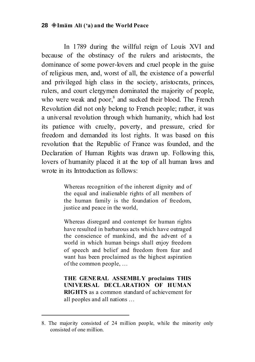In 1789 during the willful reign of Louis XVI and because of the obstinacy of the rulers and aristocrats, the dominance of some power-lovers and cruel people in the guise of religious men, and, worst of all, the existence of a powerful and privileged high class in the society, aristocrats, princes, rulers, and court clergymen dominated the majority of people, who were weak and poor,<sup>8</sup> and sucked their blood. The French Revolution did not only belong to French people; rather, it was a universal revolution through which humanity, which had lost its patience with cruelty, poverty, and pressure, cried for freedom and demanded its lost rights. It was based on this revolution that the Republic of France was founded, and the Declaration of Human Rights was drawn up. Following this, lovers of humanity placed it at the top of all human laws and wrote in its Introduction as follows:

> Whereas recognition of the inherent dignity and of the equal and inalienable rights of all members of the human family is the foundation of freedom, justice and peace in the world,

> Whereas disregard and contempt for human rights have resulted in barbarous acts which have outraged the conscience of mankind, and the advent of a world in which human beings shall enjoy freedom of speech and belief and freedom from fear and want has been proclaimed as the highest aspiration of the common people, …

> **THE GENERAL ASSEMBLY proclaims THIS UNIVERSAL DECLARATION OF HUMAN RIGHTS** as a common standard of achievement for all peoples and all nations …

<sup>8.</sup> The majority consisted of 24 million people, while the minority only consisted of one million.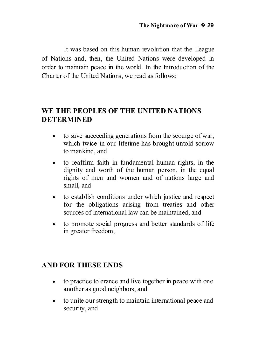It was based on this human revolution that the League of Nations and, then, the United Nations were developed in order to maintain peace in the world. In the Introduction of the Charter of the United Nations, we read as follows:

### **WE THE PEOPLES OF THE UNITED NATIONS DETERMINED**

- to save succeeding generations from the scourge of war, which twice in our lifetime has brought untold sorrow to mankind, and
- to reaffirm faith in fundamental human rights, in the dignity and worth of the human person, in the equal rights of men and women and of nations large and small, and
- to establish conditions under which justice and respect for the obligations arising from treaties and other sources of international law can be maintained, and
- to promote social progress and better standards of life in greater freedom,

### **AND FOR THESE ENDS**

- to practice tolerance and live together in peace with one another as good neighbors, and
- to unite our strength to maintain international peace and security, and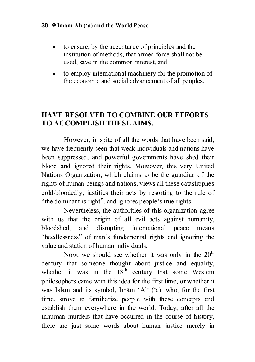- to ensure, by the acceptance of principles and the institution of methods, that armed force shall not be used, save in the common interest, and
- to employ international machinery for the promotion of the economic and social advancement of all peoples,

### **HAVE RESOLVED TO COMBINE OUR EFFORTS TO ACCOMPLISH THESE AIMS.**

However, in spite of all the words that have been said. we have frequently seen that weak individuals and nations have been suppressed, and powerful governments have shed their blood and ignored their rights. Moreover, this very United Nations Organization, which claims to be the guardian of the rights of human beings and nations, views all these catastrophes cold-bloodedly, justifies their acts by resorting to the rule of 'the dominant is right', and ignores people's true rights.

Nevertheless, the authorities of this organization agree with us that the origin of all evil acts against humanity, bloodshed, and disrupting international peace means 'heedlessness' of man's fundamental rights and ignoring the value and station of human individuals.

Now, we should see whether it was only in the  $20<sup>th</sup>$ century that someone thought about justice and equality, whether it was in the  $18<sup>th</sup>$  century that some Western philosophers came with this idea for the first time, or whether it was Islam and its symbol, Imàm 'Alí ('a), who, for the first time, strove to familiarize people with these concepts and establish them everywhere in the world. Today, after all the inhuman murders that have occurred in the course of history, there are just some words about human justice merely in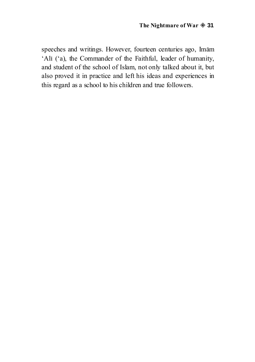speeches and writings. However, fourteen centuries ago, Imàm 'Alí ('a), the Commander of the Faithful, leader of humanity, and student of the school of Islam, not only talked about it, but also proved it in practice and left his ideas and experiences in this regard as a school to his children and true followers.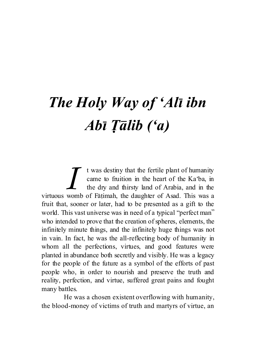# *The Holy Way of 'Alí ibn Abí Ìàlib ('a)*

t was destiny that the fertile plant of humanity came to fruition in the heart of the Ka'ba, in the dry and thirsty land of Arabia, and in the virtuous womb of Fātimah, the daughter of Asad. This was a fruit that, sooner or later, had to be presented as a gift to the world. This vast universe was in need of a typical "perfect man" who intended to prove that the creation of spheres, elements, the infinitely minute things, and the infinitely huge things was not in vain. In fact, he was the all-reflecting body of humanity in whom all the perfections, virtues, and good features were planted in abundance both secretly and visibly. He was a legacy for the people of the future as a symbol of the efforts of past people who, in order to nourish and preserve the truth and reality, perfection, and virtue, suffered great pains and fought many battles. *I*

He was a chosen existent overflowing with humanity, the blood-money of victims of truth and martyrs of virtue, an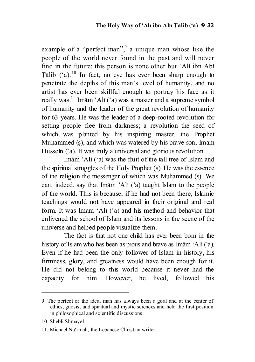example of a "perfect man", a unique man whose like the people of the world never found in the past and will never find in the future; this person is none other but 'Alí ibn Abí Tālib  $('a)$ .<sup>10</sup> In fact, no eye has ever been sharp enough to penetrate the depths of this man's level of humanity, and no artist has ever been skillful enough to portray his face as it really was.<sup>11</sup> Imàm 'Alí ('a) was a master and a supreme symbol of humanity and the leader of the great revolution of humanity for 63 years. He was the leader of a deep-rooted revolution for setting people free from darkness; a revolution the seed of which was planted by his inspiring master, the Prophet Muhammed (s), and which was watered by his brave son, Imām Hussein ('a). It was truly a universal and glorious revolution.

Imàm 'Alí ('a) was the fruit of the tall tree of Islam and the spiritual struggles of the Holy Prophet  $(s)$ . He was the essence of the religion the messenger of which was Muhammed (s). We can, indeed, say that Imàm 'Alí ('a) taught Islam to the people of the world. This is because, if he had not been there, Islamic teachings would not have appeared in their original and real form. It was Imàm 'Alí ('a) and his method and behavior that enlivened the school of Islam and its lessons in the scene of the universe and helped people visualize them.

The fact is that not one child has ever been born in the history of Islam who has been as pious and brave as Imàm 'Alí ('a). Even if he had been the only follower of Islam in history, his firmness, glory, and greatness would have been enough for it. He did not belong to this world because it never had the capacity for him. However, he lived, followed his

<sup>9.</sup> The perfect or the ideal man has always been a goal and at the center of ethics, gnosis, and spiritual and mystic sciences and held the first position in philosophical and scientific discussions.

<sup>10.</sup> Shebli Shmayel.

<sup>11</sup>. Michael Na'imah, the Lebanese Christian writer.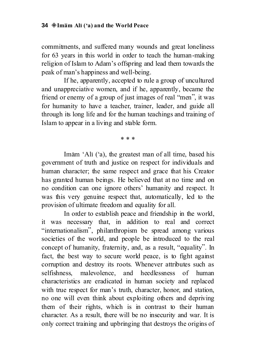commitments, and suffered many wounds and great loneliness for 63 years in this world in order to teach the human-making religion of Islam to Adam's offspring and lead them towards the peak of man's happiness and well-being.

If he, apparently, accepted to rule a group of uncultured and unappreciative women, and if he, apparently, became the friend or enemy of a group of just images of real "men", it was for humanity to have a teacher, trainer, leader, and guide all through its long life and for the human teachings and training of Islam to appear in a living and stable form.

\* \* \*

Imàm 'Alí ('a), the greatest man of all time, based his government of truth and justice on respect for individuals and human character; the same respect and grace that his Creator has granted human beings. He believed that at no time and on no condition can one ignore others' humanity and respect. It was this very genuine respect that, automatically, led to the provision of ultimate freedom and equality for all.

In order to establish peace and friendship in the world, it was necessary that, in addition to real and correct 'internationalism', philanthropism be spread among various societies of the world, and people be introduced to the real concept of humanity, fraternity, and, as a result, 'equality'. In fact, the best way to secure world peace, is to fight against corruption and destroy its roots. Whenever attributes such as selfishness, malevolence, and heedlessness of human characteristics are eradicated in human society and replaced with true respect for man's truth, character, honor, and station, no one will even think about exploiting others and depriving them of their rights, which is in contrast to their human character. As a result, there will be no insecurity and war. It is only correct training and upbringing that destroys the origins of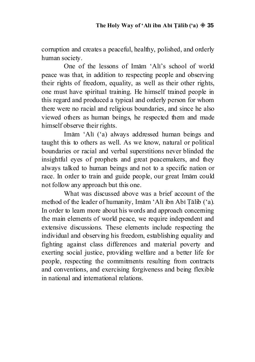corruption and creates a peaceful, healthy, polished, and orderly human society.

One of the lessons of Imàm 'Alí's school of world peace was that, in addition to respecting people and observing their rights of freedom, equality, as well as their other rights, one must have spiritual training. He himself trained people in this regard and produced a typical and orderly person for whom there were no racial and religious boundaries, and since he also viewed others as human beings, he respected them and made himself observe their rights.

Imàm 'Alí ('a) always addressed human beings and taught this to others as well. As we know, natural or political boundaries or racial and verbal superstitions never blinded the insightful eyes of prophets and great peacemakers, and they always talked to human beings and not to a specific nation or race. In order to train and guide people, our great Imàm could not follow any approach but this one.

What was discussed above was a brief account of the method of the leader of humanity, Imām 'Alī ibn Abī Tālib ('a). In order to learn more about his words and approach concerning the main elements of world peace, we require independent and extensive discussions. These elements include respecting the individual and observing his freedom, establishing equality and fighting against class differences and material poverty and exerting social justice, providing welfare and a better life for people, respecting the commitments resulting from contracts and conventions, and exercising forgiveness and being flexible in national and international relations.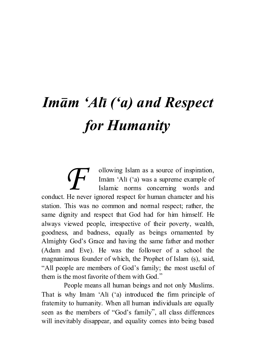## *Imàm 'Alí ('a) and Respect for Humanity*

ollowing Islam as a source of inspiration, Imàm 'Alí ('a) was a supreme example of Islamic norms concerning words and conduct. He never ignored respect for human character and his station. This was no common and normal respect; rather, the same dignity and respect that God had for him himself. He always viewed people, irrespective of their poverty, wealth, goodness, and badness, equally as beings ornamented by Almighty God's Grace and having the same father and mother (Adam and Eve). He was the follower of a school the magnanimous founder of which, the Prophet of Islam (s), said, 'All people are members of God's family; the most useful of them is the most favorite of them with God.' *F*

People means all human beings and not only Muslims. That is why Imàm 'Alí ('a) introduced the firm principle of fraternity to humanity. When all human individuals are equally seen as the members of 'God's family', all class differences will inevitably disappear, and equality comes into being based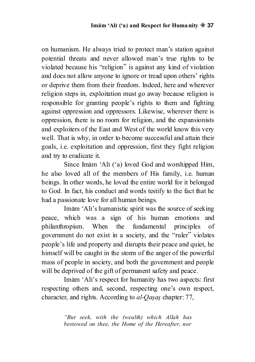on humanism. He always tried to protect man's station against potential threats and never allowed man's true rights to be violated because his 'religion' is against any kind of violation and does not allow anyone to ignore or tread upon others' rights or deprive them from their freedom. Indeed, here and wherever religion steps in, exploitation must go away because religion is responsible for granting people's rights to them and fighting against oppression and oppressors. Likewise, wherever there is oppression, there is no room for religion, and the expansionists and exploiters of the East and West of the world know this very well. That is why, in order to become successful and attain their goals, i.e. exploitation and oppression, first they fight religion and try to eradicate it.

Since Imàm 'Alí ('a) loved God and worshipped Him, he also loved all of the members of His family, i.e. human beings. In other words, he loved the entire world for it belonged to God. In fact, his conduct and words testify to the fact that he had a passionate love for all human beings.

Imàm 'Alí's humanistic spirit was the source of seeking peace, which was a sign of his human emotions and philanthropism. When the fundamental principles of government do not exist in a society, and the 'ruler' violates people's life and property and disrupts their peace and quiet, he himself will be caught in the storm of the anger of the powerful mass of people in society, and both the government and people will be deprived of the gift of permanent safety and peace.

Imàm 'Alí's respect for humanity has two aspects: first respecting others and, second, respecting one's own respect, character, and rights. According to *al-Qaæaæ* chapter: 77,

> *'But seek, with the (wealth) which Allah has bestowed on thee, the Home of the Hereafter, nor*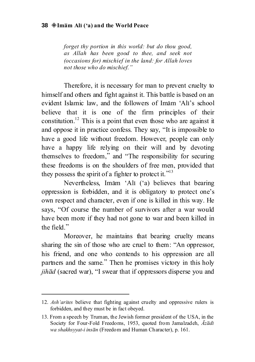*forget thy portion in this world: but do thou good, as Allah has been good to thee, and seek not (occasions for) mischief in the land: for Allah loves not those who do mischief.'*

Therefore, it is necessary for man to prevent cruelty to himself and others and fight against it. This battle is based on an evident Islamic law, and the followers of Imàm 'Alí's school believe that it is one of the firm principles of their constitution.<sup>12</sup> This is a point that even those who are against it and oppose it in practice confess. They say, 'It is impossible to have a good life without freedom. However, people can only have a happy life relying on their will and by devoting themselves to freedom,' and 'The responsibility for securing these freedoms is on the shoulders of free men, provided that they possess the spirit of a fighter to protect it."<sup>13</sup>

Nevertheless, Imàm 'Alí ('a) believes that bearing oppression is forbidden, and it is obligatory to protect one's own respect and character, even if one is killed in this way. He says, 'Of course the number of survivors after a war would have been more if they had not gone to war and been killed in the field.'

Moreover, he maintains that bearing cruelty means sharing the sin of those who are cruel to them: 'An oppressor, his friend, and one who contends to his oppression are all partners and the same.' Then he promises victory in this holy *jihàd* (sacred war), 'I swear that if oppressors disperse you and

<sup>12.</sup> *Ash'arites* believe that fighting against cruelty and oppressive rulers is forbidden, and they must be in fact obeyed.

<sup>13.</sup> From a speech by Truman, the Jewish former president of the USA, in the Society for Four-Fold Freedoms, 1953, quoted from Jamalzadeh, *Āzàdí wa shakhsyyat-i insàn* (Freedom and Human Character), p. 161.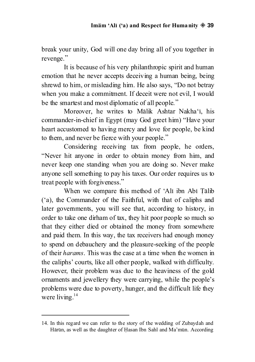break your unity, God will one day bring all of you together in revenge.'

It is because of his very philanthropic spirit and human emotion that he never accepts deceiving a human being, being shrewd to him, or misleading him. He also says, 'Do not betray when you make a commitment. If deceit were not evil, I would be the smartest and most diplomatic of all people.'

Moreover, he writes to Màlik Ashtar Nakha'í, his commander-in-chief in Egypt (may God greet him) 'Have your heart accustomed to having mercy and love for people, be kind to them, and never be fierce with your people.'

Considering receiving tax from people, he orders, 'Never hit anyone in order to obtain money from him, and never keep one standing when you are doing so. Never make anyone sell something to pay his taxes. Our order requires us to treat people with forgiveness.'

When we compare this method of 'Ali ibn Abi Tālib ('a), the Commander of the Faithful, with that of caliphs and later governments, you will see that, according to history, in order to take one dirham of tax, they hit poor people so much so that they either died or obtained the money from somewhere and paid them. In this way, the tax receivers had enough money to spend on debauchery and the pleasure-seeking of the people of their *harams*. This was the case at a time when the women in the caliphs' courts, like all other people, walked with difficulty. However, their problem was due to the heaviness of the gold ornaments and jewellery they were carrying, while the people's problems were due to poverty, hunger, and the difficult life they were living.<sup>14</sup>

<sup>14.</sup> In this regard we can refer to the story of the wedding of Zubaydah and Hārūn, as well as the daughter of Hasan Ibn Sahl and Ma'mūn. According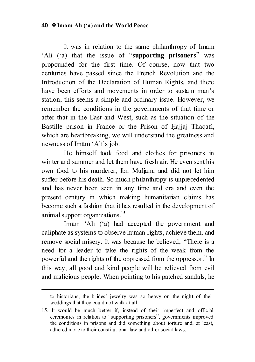It was in relation to the same philanthropy of Imàm 'Alí ('a) that the issue of '**supporting prisoners**' was propounded for the first time. Of course, now that two centuries have passed since the French Revolution and the Introduction of the Declaration of Human Rights, and there have been efforts and movements in order to sustain man's station, this seems a simple and ordinary issue. However, we remember the conditions in the governments of that time or after that in the East and West, such as the situation of the Bastille prison in France or the Prison of Hajjaj Thaqafi, which are heartbreaking, we will understand the greatness and newness of Imàm 'Alí's job.

He himself took food and clothes for prisoners in winter and summer and let them have fresh air. He even sent his own food to his murderer, Ibn Muljam, and did not let him suffer before his death. So much philanthropy is unprecedented and has never been seen in any time and era and even the present century in which making humanitarian claims has become such a fashion that it has resulted in the development of animal support organizations.<sup>15</sup>

Imàm 'Alí ('a) had accepted the government and caliphate as systems to observe human rights, achieve them, and remove social misery. It was because he believed, 'There is a need for a leader to take the rights of the weak from the powerful and the rights of the oppressed from the oppressor.' In this way, all good and kind people will be relieved from evil and malicious people. When pointing to his patched sandals, he

to historians, the brides' jewelry was so heavy on the night of their weddings that they could not walk at all.

<sup>15.</sup> It would be much better if, instead of their imperfect and official ceremonies in relation to 'supporting prisoners', governments improved the conditions in prisons and did something about torture and, at least, adhered more to their constitutional law and other social laws.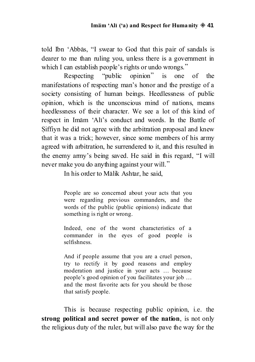told Ibn 'Abbàs, 'I swear to God that this pair of sandals is dearer to me than ruling you, unless there is a government in which I can establish people's rights or undo wrongs."

Respecting 'public opinion' is one of the manifestations of respecting man's honor and the prestige of a society consisting of human beings. Heedlessness of public opinion, which is the unconscious mind of nations, means heedlessness of their character. We see a lot of this kind of respect in Imàm 'Alí's conduct and words. In the Battle of Siffiyn he did not agree with the arbitration proposal and knew that it was a trick; however, since some members of his army agreed with arbitration, he surrendered to it, and this resulted in the enemy army's being saved. He said in this regard, 'I will never make you do anything against your will.'

In his order to Màlik Ashtar, he said,

People are so concerned about your acts that you were regarding previous commanders, and the words of the public (public opinions) indicate that something is right or wrong.

Indeed, one of the worst characteristics of a commander in the eyes of good people is selfishness.

And if people assume that you are a cruel person, try to rectify it by good reasons and employ moderation and justice in your acts … because people's good opinion of you facilitates your job … and the most favorite acts for you should be those that satisfy people.

This is because respecting public opinion, i.e. the **strong political and secret power of the nation**, is not only the religious duty of the ruler, but will also pave the way for the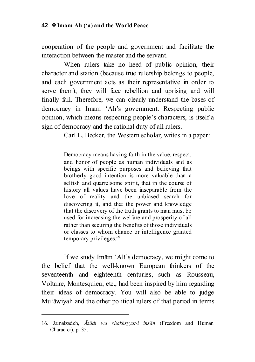cooperation of the people and government and facilitate the interaction between the master and the servant.

When rulers take no heed of public opinion, their character and station (because true rulership belongs to people, and each government acts as their representative in order to serve them), they will face rebellion and uprising and will finally fail. Therefore, we can clearly understand the bases of democracy in Imàm 'Alí's government. Respecting public opinion, which means respecting people's characters, is itself a sign of democracy and the rational duty of all rulers.

Carl L. Becker, the Western scholar, writes in a paper:

Democracy means having faith in the value, respect, and honor of people as human individuals and as beings with specific purposes and believing that brotherly good intention is more valuable than a selfish and quarrelsome spirit, that in the course of history all values have been inseparable from the love of reality and the unbiased search for discovering it, and that the power and knowledge that the discovery of the truth grants to man must be used for increasing the welfare and prosperity of all rather than securing the benefits of those individuals or classes to whom chance or intelligence granted temporary privileges.<sup>16</sup>

If we study Imàm 'Alí's democracy, we might come to the belief that the well-known European thinkers of the seventeenth and eighteenth centuries, such as Rousseau, Voltaire, Montesquieu, etc., had been inspired by him regarding their ideas of democracy. You will also be able to judge Mu'àwiyah and the other political rulers of that period in terms

<sup>16.</sup> Jamalzadeh, *Āzàdí wa shakhsyyat-i insàn* (Freedom and Human Character), p. 35.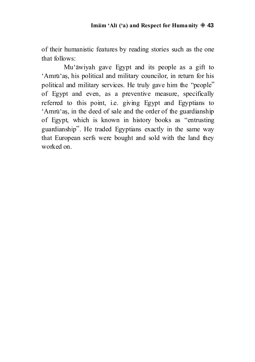of their humanistic features by reading stories such as the one that follows:

Mu'àwiyah gave Egypt and its people as a gift to 'Amrū'as, his political and military councilor, in return for his political and military services. He truly gave him the 'people' of Egypt and even, as a preventive measure, specifically referred to this point, i.e. giving Egypt and Egyptians to 'Amrū'as, in the deed of sale and the order of the guardianship of Egypt, which is known in history books as 'entrusting guardianship'. He traded Egyptians exactly in the same way that European serfs were bought and sold with the land they worked on.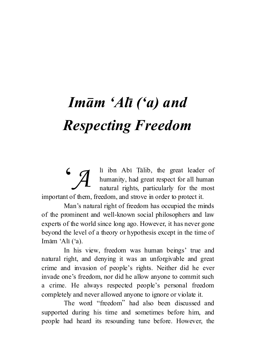# *Imàm 'Alí ('a) and Respecting Freedom*

li ibn Abi Tālib, the great leader of humanity, had great respect for all human natural rights, particularly for the most important of them, freedom, and strove in order to protect it. '*A*

Man's natural right of freedom has occupied the minds of the prominent and well-known social philosophers and law experts of the world since long ago. However, it has never gone beyond the level of a theory or hypothesis except in the time of Imàm 'Alí ('a).

In his view, freedom was human beings' true and natural right, and denying it was an unforgivable and great crime and invasion of people's rights. Neither did he ever invade one's freedom, nor did he allow anyone to commit such a crime. He always respected people's personal freedom completely and never allowed anyone to ignore or violate it.

The word 'freedom' had also been discussed and supported during his time and sometimes before him, and people had heard its resounding tune before. However, the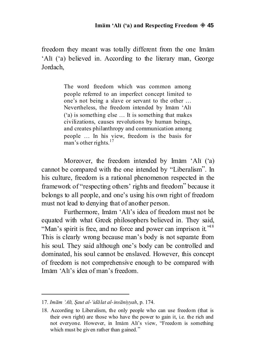freedom they meant was totally different from the one Imàm 'Alí ('a) believed in. According to the literary man, George Jordach,

> The word freedom which was common among people referred to an imperfect concept limited to one's not being a slave or servant to the other … Nevertheless, the freedom intended by Imàm 'Alí ('a) is something else … It is something that makes civilizations, causes revolutions by human beings, and creates philanthropy and communication among people … In his view, freedom is the basis for man's other rights.<sup>17</sup>

Moreover, the freedom intended by Imàm 'Alí ('a) cannot be compared with the one intended by 'Liberalism'. In his culture, freedom is a rational phenomenon respected in the framework of 'respecting others' rights and freedom' because it belongs to all people, and one's using his own right of freedom must not lead to denying that of another person.

Furthermore, Imàm 'Alí's idea of freedom must not be equated with what Greek philosophers believed in. They said, "Man's spirit is free, and no force and power can imprison it."<sup>8</sup> This is clearly wrong because man's body is not separate from his soul. They said although one's body can be controlled and dominated, his soul cannot be enslaved. However, this concept of freedom is not comprehensive enough to be compared with Imàm 'Alí's idea of man's freedom.

<sup>17.</sup> *Imàm 'Alí, Æaut al-'idàlat al-insàniyyah*, p. 174.

<sup>18.</sup> According to Liberalism, the only people who can use freedom (that is their own right) are those who have the power to gain it, i.e. the rich and not everyone. However, in Imàm Alí's view, 'Freedom is something which must be given rather than gained."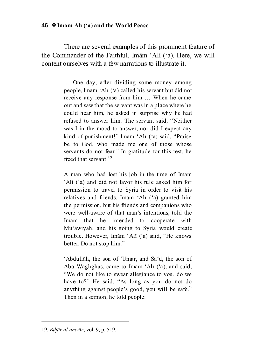There are several examples of this prominent feature of the Commander of the Faithful, Imàm 'Alí ('a). Here, we will content ourselves with a few narrations to illustrate it.

> … One day, after dividing some money among people, Imàm 'Alí ('a) called his servant but did not receive any response from him … When he came out and saw that the servant was in a place where he could hear him, he asked in surprise why he had refused to answer him. The servant said, 'Neither was I in the mood to answer, nor did I expect any kind of punishment!' Imàm 'Alí ('a) said, 'Praise be to God, who made me one of those whose servants do not fear.' In gratitude for this test, he freed that servant.<sup>19</sup>

> A man who had lost his job in the time of Imàm 'Alí ('a) and did not favor his rule asked him for permission to travel to Syria in order to visit his relatives and friends. Imàm 'Alí ('a) granted him the permission, but his friends and companions who were well-aware of that man's intentions, told the Imàm that he intended to cooperate with Mu'àwiyah, and his going to Syria would create trouble. However, Imàm 'Alí ('a) said, 'He knows better. Do not stop him.'

> 'Abdullàh, the son of 'Umar, and Sa'd, the son of Abê Waghghàæ, came to Imàm 'Alí ('a), and said, 'We do not like to swear allegiance to you, do we have to?" He said, "As long as you do not do anything against people's good, you will be safe.' Then in a sermon, he told people:

<sup>19.</sup> *Biåàr al-anwàr*, vol. 9, p. 519.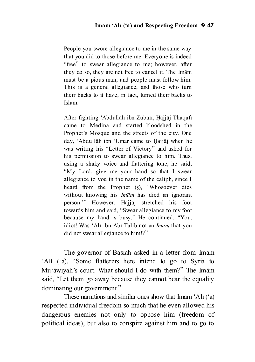People you swore allegiance to me in the same way that you did to those before me. Everyone is indeed 'free' to swear allegiance to me; however, after they do so, they are not free to cancel it. The Imàm must be a pious man, and people must follow him. This is a general allegiance, and those who turn their backs to it have, in fact, turned their backs to Islam.

After fighting 'Abdullāh ibn Zubair, Hajjāj Thaqafi came to Medina and started bloodshed in the Prophet's Mosque and the streets of the city. One day, 'Abdullāh ibn 'Umar came to Hajjāj when he was writing his 'Letter of Victory' and asked for his permission to swear allegiance to him. Thus, using a shaky voice and flattering tone, he said, 'My Lord, give me your hand so that I swear allegiance to you in the name of the caliph, since I heard from the Prophet (s), 'Whosoever dies without knowing his *Imàm* has died an ignorant person." However, Hajjāj stretched his foot towards him and said, 'Swear allegiance to my foot because my hand is busy.' He continued, 'You, idiot! Was 'Ali ibn Abi Tālib not an *Imām* that you did not swear allegiance to him!?'

The governor of Basrah asked in a letter from Imàm 'Alí ('a), 'Some flatterers here intend to go to Syria to Mu'àwiyah's court. What should I do with them?' The Imàm said, 'Let them go away because they cannot bear the equality dominating our government.'

These narrations and similar ones show that Imàm 'Alí ('a) respected individual freedom so much that he even allowed his dangerous enemies not only to oppose him (freedom of political ideas), but also to conspire against him and to go to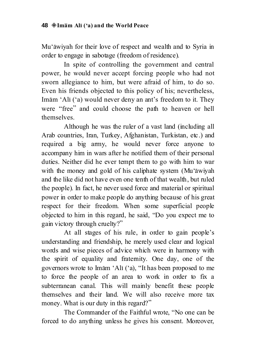Mu'àwiyah for their love of respect and wealth and to Syria in order to engage in sabotage (freedom of residence).

In spite of controlling the government and central power, he would never accept forcing people who had not sworn allegiance to him, but were afraid of him, to do so. Even his friends objected to this policy of his; nevertheless, Imàm 'Alí ('a) would never deny an ant's freedom to it. They were 'free' and could choose the path to heaven or hell themselves.

Although he was the ruler of a vast land (including all Arab countries, Iran, Turkey, Afghanistan, Turkistan, etc.) and required a big army, he would never force anyone to accompany him in wars after he notified them of their personal duties. Neither did he ever tempt them to go with him to war with the money and gold of his caliphate system (Mu'àwiyah and the like did not have even one tenth of that wealth, but ruled the people). In fact, he never used force and material or spiritual power in order to make people do anything because of his great respect for their freedom. When some superficial people objected to him in this regard, he said, 'Do you expect me to gain victory through cruelty?'

At all stages of his rule, in order to gain people's understanding and friendship, he merely used clear and logical words and wise pieces of advice which were in harmony with the spirit of equality and fraternity. One day, one of the governors wrote to Imàm 'Alí ('a), 'It has been proposed to me to force the people of an area to work in order to fix a subterranean canal. This will mainly benefit these people themselves and their land. We will also receive more tax money. What is our duty in this regard?"

The Commander of the Faithful wrote, 'No one can be forced to do anything unless he gives his consent. Moreover,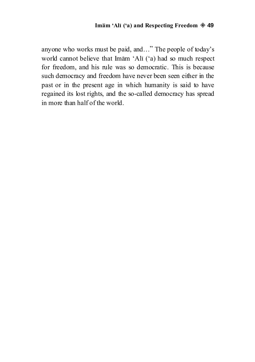anyone who works must be paid, and…' The people of today's world cannot believe that Imàm 'Alí ('a) had so much respect for freedom, and his rule was so democratic. This is because such democracy and freedom have never been seen either in the past or in the present age in which humanity is said to have regained its lost rights, and the so-called democracy has spread in more than half of the world.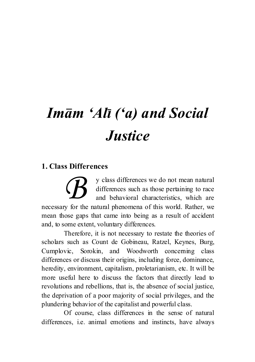# *Imàm 'Alí ('a) and Social Justice*

# **1. Class Differences**

y class differences we do not mean natural differences such as those pertaining to race and behavioral characteristics, which are **B** y class differences we do not mean natural differences such as those pertaining to race and behavioral characteristics, which are necessary for the natural phenomena of this world. Rather, we mean those gaps that came into being as a result of accident and, to some extent, voluntary differences.

Therefore, it is not necessary to restate the theories of scholars such as Count de Gobineau, Ratzel, Keynes, Burg, Cumplovic, Sorokin, and Woodworth concerning class differences or discuss their origins, including force, dominance, heredity, environment, capitalism, proletarianism, etc. It will be more useful here to discuss the factors that directly lead to revolutions and rebellions, that is, the absence of social justice, the deprivation of a poor majority of social privileges, and the plundering behavior of the capitalist and powerful class.

Of course, class differences in the sense of natural differences, i.e. animal emotions and instincts, have always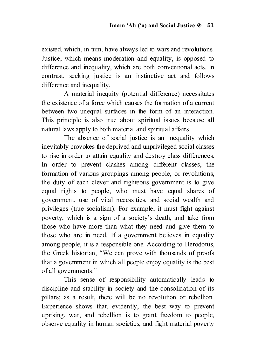existed, which, in turn, have always led to wars and revolutions. Justice, which means moderation and equality, is opposed to difference and inequality, which are both conventional acts. In contrast, seeking justice is an instinctive act and follows difference and inequality.

A material inequity (potential difference) necessitates the existence of a force which causes the formation of a current between two unequal surfaces in the form of an interaction. This principle is also true about spiritual issues because all natural laws apply to both material and spiritual affairs.

The absence of social justice is an inequality which inevitably provokes the deprived and unprivileged social classes to rise in order to attain equality and destroy class differences. In order to prevent clashes among different classes, the formation of various groupings among people, or revolutions, the duty of each clever and righteous government is to give equal rights to people, who must have equal shares of government, use of vital necessities, and social wealth and privileges (true socialism). For example, it must fight against poverty, which is a sign of a society's death, and take from those who have more than what they need and give them to those who are in need. If a government believes in equality among people, it is a responsible one. According to Herodotus, the Greek historian, 'We can prove with thousands of proofs that a government in which all people enjoy equality is the best of all governments.'

This sense of responsibility automatically leads to discipline and stability in society and the consolidation of its pillars; as a result, there will be no revolution or rebellion. Experience shows that, evidently, the best way to prevent uprising, war, and rebellion is to grant freedom to people, observe equality in human societies, and fight material poverty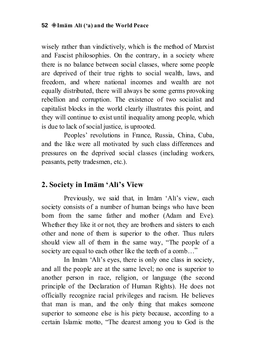wisely rather than vindictively, which is the method of Marxist and Fascist philosophies. On the contrary, in a society where there is no balance between social classes, where some people are deprived of their true rights to social wealth, laws, and freedom, and where national incomes and wealth are not equally distributed, there will always be some germs provoking rebellion and corruption. The existence of two socialist and capitalist blocks in the world clearly illustrates this point, and they will continue to exist until inequality among people, which is due to lack of social justice, is uprooted.

Peoples' revolutions in France, Russia, China, Cuba, and the like were all motivated by such class differences and pressures on the deprived social classes (including workers, peasants, petty tradesmen, etc.).

# **2. Society in Imàm 'Alí's View**

Previously, we said that, in Imàm 'Alí's view, each society consists of a number of human beings who have been born from the same father and mother (Adam and Eve). Whether they like it or not, they are brothers and sisters to each other and none of them is superior to the other. Thus rulers should view all of them in the same way, 'The people of a society are equal to each other like the teeth of a comb..."

In Imàm 'Alí's eyes, there is only one class in society, and all the people are at the same level; no one is superior to another person in race, religion, or language (the second principle of the Declaration of Human Rights). He does not officially recognize racial privileges and racism. He believes that man is man, and the only thing that makes someone superior to someone else is his piety because, according to a certain Islamic motto, 'The dearest among you to God is the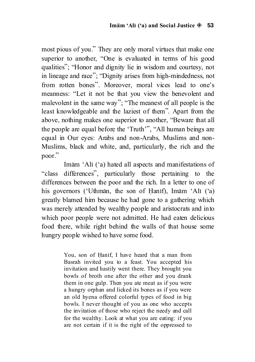most pious of you.' They are only moral virtues that make one superior to another, 'One is evaluated in terms of his good qualities'; 'Honor and dignity lie in wisdom and courtesy, not in lineage and race'; 'Dignity arises from high-mindedness, not from rotten bones'. Moreover, moral vices lead to one's meanness: 'Let it not be that you view the benevolent and malevolent in the same way'; 'The meanest of all people is the least knowledgeable and the laziest of them'. Apart from the above, nothing makes one superior to another, 'Beware that all the people are equal before the 'Truth'', 'All human beings are equal in Our eyes: Arabs and non-Arabs, Muslims and non-Muslims, black and white, and, particularly, the rich and the poor.'

Imàm 'Alí ('a) hated all aspects and manifestations of 'class differences', particularly those pertaining to the differences between the poor and the rich. In a letter to one of his governors ('Uthmān, the son of Hanif), Imām 'Ali ('a) greatly blamed him because he had gone to a gathering which was merely attended by wealthy people and aristocrats and into which poor people were not admitted. He had eaten delicious food there, while right behind the walls of that house some hungry people wished to have some food.

> You, son of Hanif, I have heard that a man from Basrah invited you to a feast. You accepted his invitation and hastily went there. They brought you bowls of broth one after the other and you drank them in one gulp. Then you ate meat as if you were a hungry orphan and licked its bones as if you were an old hyena offered colorful types of food in big bowls. I never thought of you as one who accepts the invitation of those who reject the needy and call for the wealthy. Look at what you are eating: if you are not certain if it is the right of the oppressed to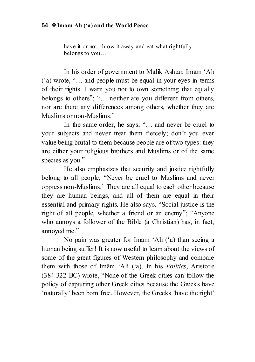have it or not, throw it away and eat what rightfully belongs to you…

In his order of government to Màlik Ashtar, Imàm 'Alí ('a) wrote, '… and people must be equal in your eyes in terms of their rights. I warn you not to own something that equally belongs to others": "... neither are you different from others, nor are there any differences among others, whether they are Muslims or non-Muslims.'

In the same order, he says, "... and never be cruel to your subjects and never treat them fiercely; don't you ever value being brutal to them because people are of two types: they are either your religious brothers and Muslims or of the same species as you."

He also emphasizes that security and justice rightfully belong to all people, 'Never be cruel to Muslims and never oppress non-Muslims.' They are all equal to each other because they are human beings, and all of them are equal in their essential and primary rights. He also says, 'Social justice is the right of all people, whether a friend or an enemy'; 'Anyone who annoys a follower of the Bible (a Christian) has, in fact, annoyed me.'

No pain was greater for Imàm 'Alí ('a) than seeing a human being suffer! It is now useful to learn about the views of some of the great figures of Western philosophy and compare them with those of Imàm 'Alí ('a). In his *Politics*, Aristotle (384-322 BC) wrote, 'None of the Greek cities can follow the policy of capturing other Greek cities because the Greeks have 'naturally' been born free. However, the Greeks 'have the right'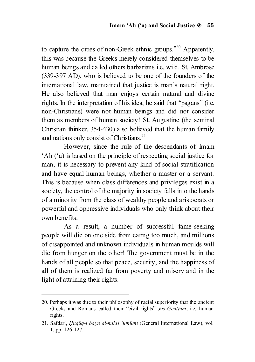to capture the cities of non-Greek ethnic groups.<sup> $20$ </sup> Apparently, this was because the Greeks merely considered themselves to be human beings and called others barbarians i.e. wild. St. Ambrose (339-397 AD), who is believed to be one of the founders of the international law, maintained that justice is man's natural right. He also believed that man enjoys certain natural and divine rights. In the interpretation of his idea, he said that "pagans" (i.e. non-Christians) were not human beings and did not consider them as members of human society! St. Augustine (the seminal Christian thinker, 354-430) also believed that the human family and nations only consist of Christians.<sup>21</sup>

However, since the rule of the descendants of Imàm 'Alí ('a) is based on the principle of respecting social justice for man, it is necessary to prevent any kind of social stratification and have equal human beings, whether a master or a servant. This is because when class differences and privileges exist in a society, the control of the majority in society falls into the hands of a minority from the class of wealthy people and aristocrats or powerful and oppressive individuals who only think about their own benefits.

As a result, a number of successful fame-seeking people will die on one side from eating too much, and millions of disappointed and unknown individuals in human moulds will die from hunger on the other! The government must be in the hands of all people so that peace, security, and the happiness of all of them is realized far from poverty and misery and in the light of attaining their rights.

<sup>20.</sup> Perhaps it was due to their philosophy of racial superiority that the ancient Greeks and Romans called their 'civil rights' *Jus-Gentium*, i.e. human rights.

<sup>21.</sup> Safdari, *Åuqêq-i bayn al-milal 'umêmí* (General International Law), vol. 1, pp. 126-127.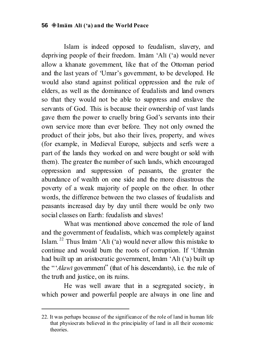Islam is indeed opposed to feudalism, slavery, and depriving people of their freedom. Imàm 'Alí ('a) would never allow a khanate government, like that of the Ottoman period and the last years of 'Umar's government, to be developed. He would also stand against political oppression and the rule of elders, as well as the dominance of feudalists and land owners so that they would not be able to suppress and enslave the servants of God. This is because their ownership of vast lands gave them the power to cruelly bring God's servants into their own service more than ever before. They not only owned the product of their jobs, but also their lives, property, and wives (for example, in Medieval Europe, subjects and serfs were a part of the lands they worked on and were bought or sold with them). The greater the number of such lands, which encouraged oppression and suppression of peasants, the greater the abundance of wealth on one side and the more disastrous the poverty of a weak majority of people on the other. In other words, the difference between the two classes of feudalists and peasants increased day by day until there would be only two social classes on Earth: feudalists and slaves!

What was mentioned above concerned the role of land and the government of feudalists, which was completely against Islam. <sup>22</sup> Thus Imàm 'Alí ('a) would never allow this mistake to continue and would burn the roots of corruption. If 'Uthmàn had built up an aristocratic government, Imàm 'Alí ('a) built up the ''*Alawí* government' (that of his descendants), i.e. the rule of the truth and justice, on its ruins.

He was well aware that in a segregated society, in which power and powerful people are always in one line and

<sup>22.</sup> It was perhaps because of the significance of the role of land in human life that physiocrats believed in the principiality of land in all their economic theories.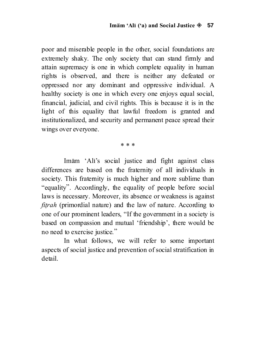poor and miserable people in the other, social foundations are extremely shaky. The only society that can stand firmly and attain supremacy is one in which complete equality in human rights is observed, and there is neither any defeated or oppressed nor any dominant and oppressive individual. A healthy society is one in which every one enjoys equal social. financial, judicial, and civil rights. This is because it is in the light of this equality that lawful freedom is granted and institutionalized, and security and permanent peace spread their wings over everyone.

\* \* \*

Imàm 'Alí's social justice and fight against class differences are based on the fraternity of all individuals in society. This fraternity is much higher and more sublime than 'equality'. Accordingly, the equality of people before social laws is necessary. Moreover, its absence or weakness is against *fitrah* (primordial nature) and the law of nature. According to one of our prominent leaders, 'If the government in a society is based on compassion and mutual 'friendship', there would be no need to exercise justice.'

In what follows, we will refer to some important aspects of social justice and prevention of social stratification in detail.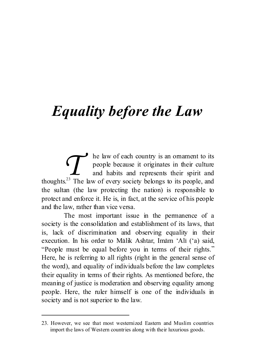# *Equality before the Law*

he law of each country is an ornament to its people because it originates in their culture and habits and represents their spirit and thoughts.<sup>23</sup> The law of every society belongs to its people, and the sultan (the law protecting the nation) is responsible to protect and enforce it. He is, in fact, at the service of his people and the law, rather than vice versa.  $\int$ <sup>23</sup> Th</sub>

The most important issue in the permanence of a society is the consolidation and establishment of its laws, that is, lack of discrimination and observing equality in their execution. In his order to Màlik Ashtar, Imàm 'Alí ('a) said, 'People must be equal before you in terms of their rights.' Here, he is referring to all rights (right in the general sense of the word), and equality of individuals before the law completes their equality in terms of their rights. As mentioned before, the meaning of justice is moderation and observing equality among people. Here, the ruler himself is one of the individuals in society and is not superior to the law.

<sup>23.</sup> However, we see that most westernized Eastern and Muslim countries import the laws of Western countries along with their luxurious goods.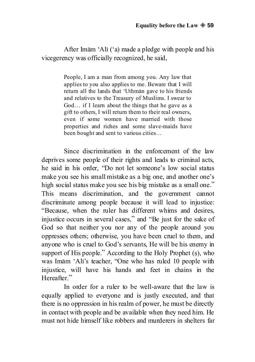After Imàm 'Alí ('a) made a pledge with people and his vicegerency was officially recognized, he said,

> People, I am a man from among you. Any law that applies to you also applies to me. Beware that I will return all the lands that 'Uthmàn gave to his friends and relatives to the Treasury of Muslims. I swear to God… if I learn about the things that he gave as a gift to others, I will return them to their real owners, even if some women have married with those properties and riches and some slave-maids have been bought and sent to various cities…

Since discrimination in the enforcement of the law deprives some people of their rights and leads to criminal acts. he said in his order, 'Do not let someone's low social status make you see his small mistake as a big one, and another one's high social status make you see his big mistake as a small one." This means discrimination, and the government cannot discriminate among people because it will lead to injustice: 'Because, when the ruler has different whims and desires, injustice occurs in several cases,' and 'Be just for the sake of God so that neither you nor any of the people around you oppresses others; otherwise, you have been cruel to them, and anyone who is cruel to God's servants, He will be his enemy in support of His people." According to the Holy Prophet  $(s)$ , who was Imàm 'Alí's teacher, 'One who has ruled 10 people with injustice, will have his hands and feet in chains in the Hereafter<sup>"</sup>

In order for a ruler to be well-aware that the law is equally applied to everyone and is justly executed, and that there is no oppression in his realm of power, he must be directly in contact with people and be available when they need him. He must not hide himself like robbers and murderers in shelters far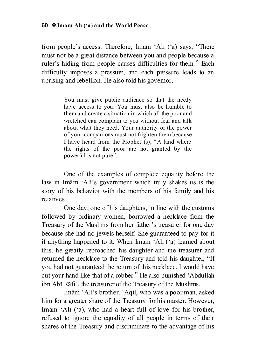from people's access. Therefore, Imàm 'Alí ('a) says, 'There must not be a great distance between you and people because a ruler's hiding from people causes difficulties for them.' Each difficulty imposes a pressure, and each pressure leads to an uprising and rebellion. He also told his governor,

> You must give public audience so that the needy have access to you. You must also be humble to them and create a situation in which all the poor and wretched can complain to you without fear and talk about what they need. Your authority or the power of your companions must not frighten them because I have heard from the Prophet (s), "A land where the rights of the poor are not granted by the powerful is not pure'.

One of the examples of complete equality before the law in Imàm 'Alí's government which truly shakes us is the story of his behavior with the members of his family and his relatives.

One day, one of his daughters, in line with the customs followed by ordinary women, borrowed a necklace from the Treasury of the Muslims from her father's treasurer for one day because she had no jewels herself. She guaranteed to pay for it if anything happened to it. When Imàm 'Alí ('a) learned about this, he greatly reproached his daughter and the treasurer and returned the necklace to the Treasury and told his daughter, 'If you had not guaranteed the return of this necklace, I would have cut your hand like that of a robber.' He also punished 'Abdullàh ibn Abí Ràfi', the treasurer of the Treasury of the Muslims.

Imàm 'Alí's brother, 'Aqíl, who was a poor man, asked him for a greater share of the Treasury for his master. However, Imàm 'Alí ('a), who had a heart full of love for his brother, refused to ignore the equality of all people in terms of their shares of the Treasury and discriminate to the advantage of his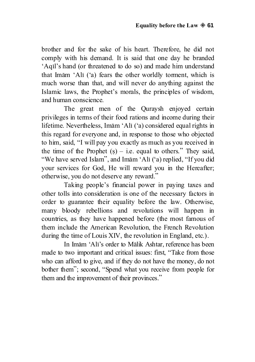brother and for the sake of his heart. Therefore, he did not comply with his demand. It is said that one day he branded 'Aqíl's hand (or threatened to do so) and made him understand that Imàm 'Alí ('a) fears the other worldly torment, which is much worse than that, and will never do anything against the Islamic laws, the Prophet's morals, the principles of wisdom, and human conscience.

The great men of the Quraysh enjoyed certain privileges in terms of their food rations and income during their lifetime. Nevertheless, Imàm 'Alí ('a) considered equal rights in this regard for everyone and, in response to those who objected to him, said, 'I will pay you exactly as much as you received in the time of the Prophet  $(s)$  – i.e. equal to others." They said, 'We have served Islam', and Imàm 'Alí ('a) replied, 'If you did your services for God, He will reward you in the Hereafter; otherwise, you do not deserve any reward.'

Taking people's financial power in paying taxes and other tolls into consideration is one of the necessary factors in order to guarantee their equality before the law. Otherwise, many bloody rebellions and revolutions will happen in countries, as they have happened before (the most famous of them include the American Revolution, the French Revolution during the time of Louis XIV, the revolution in England, etc.).

In Imàm 'Alí's order to Màlik Ashtar, reference has been made to two important and critical issues: first, 'Take from those who can afford to give, and if they do not have the money, do not bother them'; second, 'Spend what you receive from people for them and the improvement of their provinces.'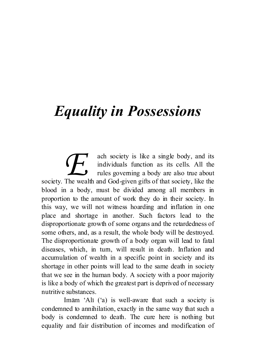# *Equality in Possessions*

ach society is like a single body, and its individuals function as its cells. All the rules governing a body are also true about society. The wealth and God-given gifts of that society, like the blood in a body, must be divided among all members in proportion to the amount of work they do in their society. In this way, we will not witness hoarding and inflation in one place and shortage in another. Such factors lead to the disproportionate growth of some organs and the retardedness of some others, and, as a result, the whole body will be destroyed. The disproportionate growth of a body organ will lead to fatal diseases, which, in turn, will result in death. Inflation and accumulation of wealth in a specific point in society and its shortage in other points will lead to the same death in society that we see in the human body. A society with a poor majority is like a body of which the greatest part is deprived of necessary nutritive substances. *F*<br>The wea

Imàm 'Alí ('a) is well-aware that such a society is condemned to annihilation, exactly in the same way that such a body is condemned to death. The cure here is nothing but equality and fair distribution of incomes and modification of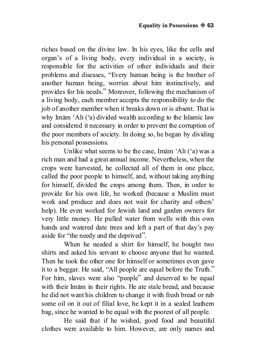riches based on the divine law. In his eyes, like the cells and organ's of a living body, every individual in a society, is responsible for the activities of other individuals and their problems and diseases, 'Every human being is the brother of another human being, worries about him instinctively, and provides for his needs.' Moreover, following the mechanism of a living body, each member accepts the responsibility to do the job of another member when it breaks down or is absent. That is why Imām 'Alī ('a) divided wealth according to the Islamic law and considered it necessary in order to prevent the corruption of the poor members of society. In doing so, he began by dividing his personal possessions.

Unlike what seems to be the case, Imàm 'Alí ('a) was a rich man and had a great annual income. Nevertheless, when the crops were harvested, he collected all of them in one place, called the poor people to himself, and, without taking anything for himself, divided the crops among them. Then, in order to provide for his own life, he worked (because a Muslim must work and produce and does not wait for charity and others' help). He even worked for Jewish land and garden owners for very little money. He pulled water from wells with this own hands and watered date trees and left a part of that day's pay aside for 'the needy and the deprived'.

When he needed a shirt for himself, he bought two shirts and asked his servant to choose anyone that he wanted. Then he took the other one for himself or sometimes even gave it to a beggar. He said, 'All people are equal before the Truth.' For him, slaves were also "people" and deserved to be equal with their Imam in their rights. He ate stale bread, and because he did not want his children to change it with fresh bread or rub some oil on it out of filial love, he kept it in a sealed leathern bag, since he wanted to be equal with the poorest of all people.

He said that if he wished, good food and beautiful clothes were available to him. However, are only names and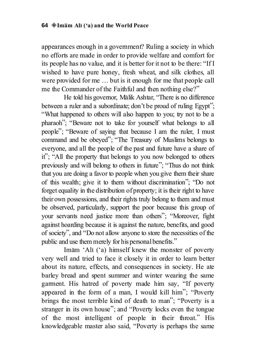appearances enough in a government? Ruling a society in which no efforts are made in order to provide welfare and comfort for its people has no value, and it is better for it not to be there: 'If I wished to have pure honey, fresh wheat, and silk clothes, all were provided for me … but is it enough for me that people call me the Commander of the Faithful and then nothing else?'

He told his governor, Màlik Ashtar, 'There is no difference between a ruler and a subordinate; don't be proud of ruling Egypt"; 'What happened to others will also happen to you; try not to be a pharaoh'; 'Beware not to take for yourself what belongs to all people'; 'Beware of saying that because I am the ruler, I must command and be obeyed'; 'The Treasury of Muslims belongs to everyone, and all the people of the past and future have a share of it'; 'All the property that belongs to you now belonged to others previously and will belong to others in future'; 'Thus do not think that you are doing a favor to people when you give them their share of this wealth; give it to them without discrimination'; 'Do not forget equality in the distribution of property; it is their right to have their own possessions, and their rights truly belong to them and must be observed, particularly, support the poor because this group of your servants need justice more than others'; 'Moreover, fight against hoarding because it is against the nature, benefits, and good of society', and 'Do not allow anyone to store the necessities of the public and use them merely for his personal benefits.'

Imàm 'Alí ('a) himself knew the monster of poverty very well and tried to face it closely it in order to learn better about its nature, effects, and consequences in society. He ate barley bread and spent summer and winter wearing the same garment. His hatred of poverty made him say, 'If poverty appeared in the form of a man, I would kill him'; 'Poverty brings the most terrible kind of death to man'; 'Poverty is a stranger in its own house'; and 'Poverty locks even the tongue of the most intelligent of people in their throat.' His knowledgeable master also said, 'Poverty is perhaps the same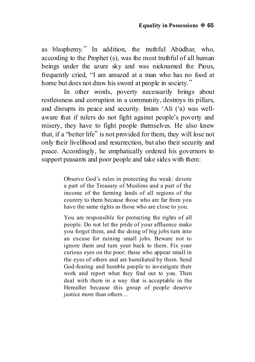as blasphemy." In addition, the truthful Abūdhar, who, according to the Prophet  $(s)$ , was the most truthful of all human beings under the azure sky and was nicknamed the Pious, frequently cried, 'I am amazed at a man who has no food at home but does not draw his sword at people in society."

In other words, poverty necessarily brings about restlessness and corruption in a community, destroys its pillars, and disrupts its peace and security. Imàm 'Alí ('a) was wellaware that if rulers do not fight against people's poverty and misery, they have to fight people themselves. He also knew that, if a 'better life' is not provided for them, they will lose not only their livelihood and resurrection, but also their security and peace. Accordingly, he emphatically ordered his governors to support peasants and poor people and take sides with them:

> Observe God's rules in protecting the weak: devote a part of the Treasury of Muslims and a part of the income of the farming lands of all regions of the country to them because those who are far from you have the same rights as those who are close to you.

> You are responsible for protecting the rights of all people. Do not let the pride of your affluence make you forget them, and the doing of big jobs turn into an excuse for ruining small jobs. Beware not to ignore them and turn your back to them. Fix your curious eyes on the poor; those who appear small in the eyes of others and are humiliated by them. Send God-fearing and humble people to investigate their work and report what they find out to you. Then deal with them in a way that is acceptable in the Hereafter because this group of people deserve justice more than others…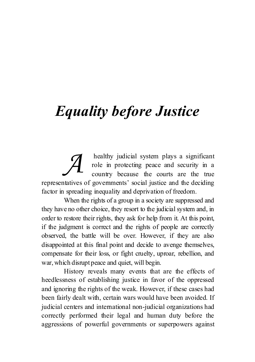# *Equality before Justice*

healthy judicial system plays a significant role in protecting peace and security in a country because the courts are the true representatives of governments' social justice and the deciding factor in spreading inequality and deprivation of freedom. *A*

When the rights of a group in a society are suppressed and they have no other choice, they resort to the judicial system and, in order to restore their rights, they ask for help from it. At this point, if the judgment is correct and the rights of people are correctly observed, the battle will be over. However, if they are also disappointed at this final point and decide to avenge themselves, compensate for their loss, or fight cruelty, uproar, rebellion, and war, which disrupt peace and quiet, will begin.

History reveals many events that are the effects of heedlessness of establishing justice in favor of the oppressed and ignoring the rights of the weak. However, if these cases had been fairly dealt with, certain wars would have been avoided. If judicial centers and international non-judicial organizations had correctly performed their legal and human duty before the aggressions of powerful governments or superpowers against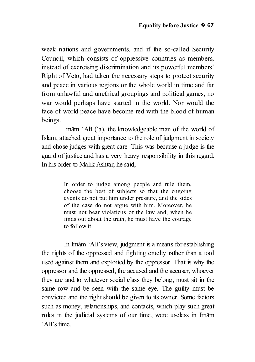weak nations and governments, and if the so-called Security Council, which consists of oppressive countries as members, instead of exercising discrimination and its powerful members' Right of Veto, had taken the necessary steps to protect security and peace in various regions or the whole world in time and far from unlawful and unethical groupings and political games, no war would perhaps have started in the world. Nor would the face of world peace have become red with the blood of human beings.

Imàm 'Alí ('a), the knowledgeable man of the world of Islam, attached great importance to the role of judgment in society and chose judges with great care. This was because a judge is the guard of justice and has a very heavy responsibility in this regard. In his order to Màlik Ashtar, he said,

> In order to judge among people and rule them. choose the best of subjects so that the ongoing events do not put him under pressure, and the sides of the case do not argue with him. Moreover, he must not bear violations of the law and, when he finds out about the truth, he must have the courage to follow it.

In Imàm 'Alí's view, judgment is a means for establishing the rights of the oppressed and fighting cruelty rather than a tool used against them and exploited by the oppressor. That is why the oppressor and the oppressed, the accused and the accuser, whoever they are and to whatever social class they belong, must sit in the same row and be seen with the same eye. The guilty must be convicted and the right should be given to its owner. Some factors such as money, relationships, and contacts, which play such great roles in the judicial systems of our time, were useless in Imàm 'Alí's time.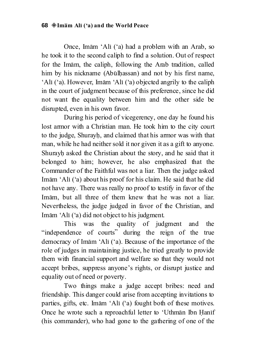Once, Imàm 'Alí ('a) had a problem with an Arab, so he took it to the second caliph to find a solution. Out of respect for the Imàm, the caliph, following the Arab tradition, called him by his nickname (Abūlhassan) and not by his first name, 'Alí ('a). However, Imàm 'Alí ('a) objected angrily to the caliph in the court of judgment because of this preference, since he did not want the equality between him and the other side be disrupted, even in his own favor.

During his period of vicegerency, one day he found his lost armor with a Christian man. He took him to the city court to the judge, Shurayh, and claimed that his armor was with that man, while he had neither sold it nor given it as a gift to anyone. Shurayå asked the Christian about the story, and he said that it belonged to him; however, he also emphasized that the Commander of the Faithful was not a liar. Then the judge asked Imàm 'Alí ('a) about his proof for his claim. He said that he did not have any. There was really no proof to testify in favor of the Imàm, but all three of them knew that he was not a liar. Nevertheless, the judge judged in favor of the Christian, and Imàm 'Alí ('a) did not object to his judgment.

This was the quality of judgment and the 'independence of courts' during the reign of the true democracy of Imàm 'Alí ('a). Because of the importance of the role of judges in maintaining justice, he tried greatly to provide them with financial support and welfare so that they would not accept bribes, suppress anyone's rights, or disrupt justice and equality out of need or poverty.

Two things make a judge accept bribes: need and friendship. This danger could arise from accepting invitations to parties, gifts, etc. Imàm 'Alí ('a) fought both of these motives. Once he wrote such a reproachful letter to 'Uthmān Ibn Hanif (his commander), who had gone to the gathering of one of the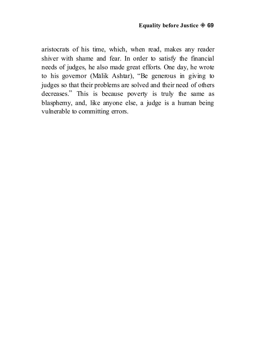aristocrats of his time, which, when read, makes any reader shiver with shame and fear. In order to satisfy the financial needs of judges, he also made great efforts. One day, he wrote to his governor (Màlik Ashtar), 'Be generous in giving to judges so that their problems are solved and their need of others decreases." This is because poverty is truly the same as blasphemy, and, like anyone else, a judge is a human being vulnerable to committing errors.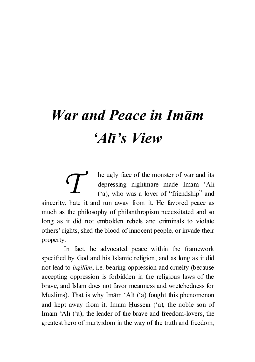# *War and Peace in Imàm 'Alí's View*

he ugly face of the monster of war and its depressing nightmare made Imàm 'Alí ('a), who was a lover of 'friendship' and sincerity, hate it and run away from it. He favored peace as much as the philosophy of philanthropism necessitated and so long as it did not embolden rebels and criminals to violate others' rights, shed the blood of innocent people, or invade their property. *T*

In fact, he advocated peace within the framework specified by God and his Islamic religion, and as long as it did not lead to *inzilām*, i.e. bearing oppression and cruelty (because accepting oppression is forbidden in the religious laws of the brave, and Islam does not favor meanness and wretchedness for Muslims). That is why Imàm 'Alí ('a) fought this phenomenon and kept away from it. Imām Hussein ('a), the noble son of Imàm 'Alí ('a), the leader of the brave and freedom-lovers, the greatest hero of martyrdom in the way of the truth and freedom,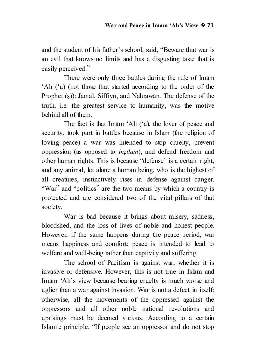and the student of his father's school, said, 'Beware that war is an evil that knows no limits and has a disgusting taste that is easily perceived.'

There were only three battles during the rule of Imàm 'Alí ('a) (not those that started according to the order of the Prophet (s)): Jamal, Siffiyn, and Nahrawān. The defense of the truth, i.e. the greatest service to humanity, was the motive behind all of them.

The fact is that Imàm 'Alí ('a), the lover of peace and security, took part in battles because in Islam (the religion of loving peace) a war was intended to stop cruelty, prevent oppression (as opposed to *inzilam*), and defend freedom and other human rights. This is because 'defense' is a certain right, and any animal, let alone a human being, who is the highest of all creatures, instinctively rises in defense against danger. 'War' and 'politics' are the two means by which a country is protected and are considered two of the vital pillars of that society.

War is bad because it brings about misery, sadness, bloodshed, and the loss of lives of noble and honest people. However, if the same happens during the peace period, war means happiness and comfort; peace is intended to lead to welfare and well-being rather than captivity and suffering.

The school of Pacifism is against war, whether it is invasive or defensive. However, this is not true in Islam and Imàm 'Alí's view because bearing cruelty is much worse and uglier than a war against invasion. War is not a defect in itself; otherwise, all the movements of the oppressed against the oppressors and all other noble national revolutions and uprisings must be deemed vicious. According to a certain Islamic principle, 'If people see an oppressor and do not stop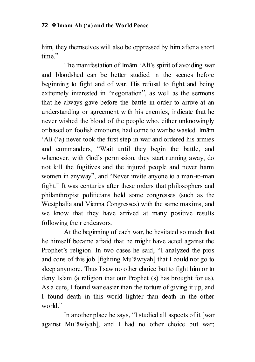him, they themselves will also be oppressed by him after a short time.'

The manifestation of Imàm 'Alí's spirit of avoiding war and bloodshed can be better studied in the scenes before beginning to fight and of war. His refusal to fight and being extremely interested in 'negotiation', as well as the sermons that he always gave before the battle in order to arrive at an understanding or agreement with his enemies, indicate that he never wished the blood of the people who, either unknowingly or based on foolish emotions, had come to war be wasted. Imàm 'Alí ('a) never took the first step in war and ordered his armies and commanders, 'Wait until they begin the battle, and whenever, with God's permission, they start running away, do not kill the fugitives and the injured people and never harm women in anyway', and 'Never invite anyone to a man-to-man fight.' It was centuries after these orders that philosophers and philanthropist politicians held some congresses (such as the Westphalia and Vienna Congresses) with the same maxims, and we know that they have arrived at many positive results following their endeavors.

At the beginning of each war, he hesitated so much that he himself became afraid that he might have acted against the Prophet's religion. In two cases he said, 'I analyzed the pros and cons of this job [fighting Mu'àwiyah] that I could not go to sleep anymore. Thus I saw no other choice but to fight him or to deny Islam (a religion that our Prophet (s) has brought for us). As a cure, I found war easier than the torture of giving it up, and I found death in this world lighter than death in the other world<sup>"</sup>

In another place he says, 'I studied all aspects of it [war against Mu'àwiyah], and I had no other choice but war;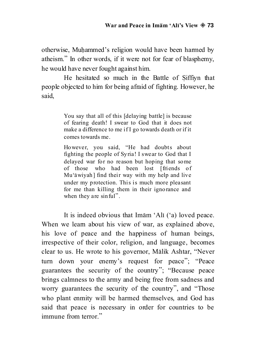otherwise, Muåammed's religion would have been harmed by atheism.' In other words, if it were not for fear of blasphemy, he would have never fought against him.

He hesitated so much in the Battle of Siffiyn that people objected to him for being afraid of fighting. However, he said,

> You say that all of this [delaying battle] is because of fearing death! I swear to God that it does not make a difference to me if I go towards death or if it comes towards me.

> However, you said, 'He had doubts about fighting the people of Syria! I swear to God that I delayed war for no reason but hoping that some of those who had been lost [friends of Mu'āwiyah] find their way with my help and live under my protection. This is much more pleasant for me than killing them in their ignorance and when they are sinful".

It is indeed obvious that Imàm 'Alí ('a) loved peace. When we learn about his view of war, as explained above, his love of peace and the happiness of human beings, irrespective of their color, religion, and language, becomes clear to us. He wrote to his governor, Màlik Ashtar, 'Never turn down your enemy's request for peace'; 'Peace guarantees the security of the country'; 'Because peace brings calmness to the army and being free from sadness and worry guarantees the security of the country', and 'Those who plant enmity will be harmed themselves, and God has said that peace is necessary in order for countries to be immune from terror.'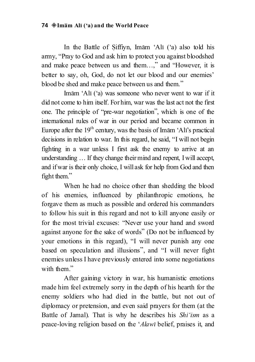#### **74 Imàm Alí ('a) and the World Peace**

In the Battle of Æiffiyn, Imàm 'Alí ('a) also told his army, 'Pray to God and ask him to protect you against bloodshed and make peace between us and them…,' and 'However, it is better to say, oh, God, do not let our blood and our enemies' blood be shed and make peace between us and them.'

Imàm 'Alí ('a) was someone who never went to war if it did not come to him itself. For him, war was the last act not the first one. The principle of 'pre-war negotiation', which is one of the international rules of war in our period and became common in Europe after the  $19<sup>th</sup>$  century, was the basis of Imam 'Ali's practical decisions in relation to war. In this regard, he said, 'I will not begin fighting in a war unless I first ask the enemy to arrive at an understanding ... If they change their mind and repent, I will accept, and if war is their only choice, I will ask for help from God and then fight them.'

When he had no choice other than shedding the blood of his enemies, influenced by philanthropic emotions, he forgave them as much as possible and ordered his commanders to follow his suit in this regard and not to kill anyone easily or for the most trivial excuses: 'Never use your hand and sword against anyone for the sake of words' (Do not be influenced by your emotions in this regard), 'I will never punish any one based on speculation and illusions', and 'I will never fight enemies unless I have previously entered into some negotiations with them."

After gaining victory in war, his humanistic emotions made him feel extremely sorry in the depth of his hearth for the enemy soldiers who had died in the battle, but not out of diplomacy or pretension, and even said prayers for them (at the Battle of Jamal). That is why he describes his *Shi'ism* as a peace-loving religion based on the '*Alawí* belief, praises it, and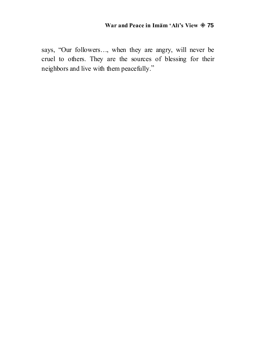says, 'Our followers…, when they are angry, will never be cruel to others. They are the sources of blessing for their neighbors and live with them peacefully.'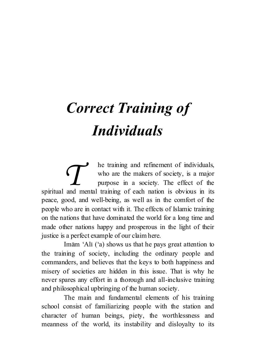# *Correct Training of Individuals*

he training and refinement of individuals, who are the makers of society, is a major purpose in a society. The effect of the spiritual and mental training of each nation is obvious in its peace, good, and well-being, as well as in the comfort of the people who are in contact with it. The effects of Islamic training on the nations that have dominated the world for a long time and made other nations happy and prosperous in the light of their justice is a perfect example of our claim here. *T*

Imàm 'Alí ('a) shows us that he pays great attention to the training of society, including the ordinary people and commanders, and believes that the keys to both happiness and misery of societies are hidden in this issue. That is why he never spares any effort in a thorough and all-inclusive training and philosophical upbringing of the human society.

The main and fundamental elements of his training school consist of familiarizing people with the station and character of human beings, piety, the worthlessness and meanness of the world, its instability and disloyalty to its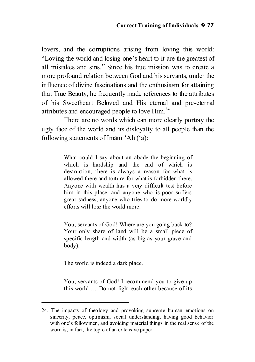lovers, and the corruptions arising from loving this world: 'Loving the world and losing one's heart to it are the greatest of all mistakes and sins.' Since his true mission was to create a more profound relation between God and his servants, under the influence of divine fascinations and the enthusiasm for attaining that True Beauty, he frequently made references to the attributes of his Sweetheart Beloved and His eternal and pre-eternal attributes and encouraged people to love Him.<sup>24</sup>

There are no words which can more clearly portray the ugly face of the world and its disloyalty to all people than the following statements of Imàm 'Alí ('a):

> What could I say about an abode the beginning of which is hardship and the end of which is destruction; there is always a reason for what is allowed there and torture for what is forbidden there. Anyone with wealth has a very difficult test before him in this place, and anyone who is poor suffers great sadness; anyone who tries to do more worldly efforts will lose the world more.

> You, servants of God! Where are you going back to? Your only share of land will be a small piece of specific length and width (as big as your grave and body).

The world is indeed a dark place.

 $\overline{a}$ 

You, servants of God! I recommend you to give up this world … Do not fight each other because of its

<sup>24.</sup> The impacts of theology and provoking supreme human emotions on sincerity, peace, optimism, social understanding, having good behavior with one's fellowmen, and avoiding material things in the real sense of the word is, in fact, the topic of an extensive paper.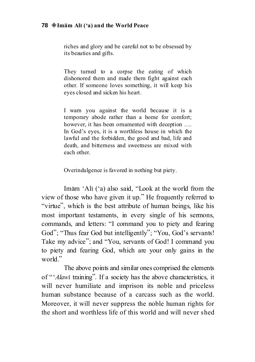#### **78 Imàm Alí ('a) and the World Peace**

riches and glory and be careful not to be obsessed by its beauties and gifts.

They turned to a corpse the eating of which dishonored them and made them fight against each other. If someone loves something, it will keep his eyes closed and sicken his heart.

I warn you against the world because it is a temporary abode rather than a home for comfort; however, it has been ornamented with deception .... In God's eyes, it is a worthless house in which the lawful and the forbidden, the good and bad, life and death, and bitterness and sweetness are mixed with each other.

Overindulgence is favored in nothing but piety.

Imàm 'Alí ('a) also said, 'Look at the world from the view of those who have given it up.' He frequently referred to 'virtue', which is the best attribute of human beings, like his most important testaments, in every single of his sermons, commands, and letters: 'I command you to piety and fearing God"; "Thus fear God but intelligently"; "You, God's servants! Take my advice'; and 'You, servants of God! I command you to piety and fearing God, which are your only gains in the world.'

The above points and similar ones comprised the elements of ''*Alawí* training'. If a society has the above characteristics, it will never humiliate and imprison its noble and priceless human substance because of a carcass such as the world. Moreover, it will never suppress the noble human rights for the short and worthless life of this world and will never shed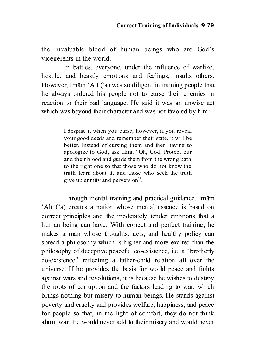the invaluable blood of human beings who are God's vicegerents in the world.

In battles, everyone, under the influence of warlike, hostile, and beastly emotions and feelings, insults others. However, Imàm 'Alí ('a) was so diligent in training people that he always ordered his people not to curse their enemies in reaction to their bad language. He said it was an unwise act which was beyond their character and was not favored by him:

> I despise it when you curse; however, if you reveal your good deeds and remember their state, it will be better. Instead of cursing them and then having to apologize to God, ask Him, 'Oh, God. Protect our and their blood and guide them from the wrong path to the right one so that those who do not know the truth learn about it, and those who seek the truth give up enmity and perversion'.

Through mental training and practical guidance, Imàm 'Alí ('a) creates a nation whose mental essence is based on correct principles and the moderately tender emotions that a human being can have. With correct and perfect training, he makes a man whose thoughts, acts, and healthy policy can spread a philosophy which is higher and more exalted than the philosophy of deceptive peaceful co-existence, i.e. a 'brotherly co-existence' reflecting a father-child relation all over the universe. If he provides the basis for world peace and fights against wars and revolutions, it is because he wishes to destroy the roots of corruption and the factors leading to war, which brings nothing but misery to human beings. He stands against poverty and cruelty and provides welfare, happiness, and peace for people so that, in the light of comfort, they do not think about war. He would never add to their misery and would never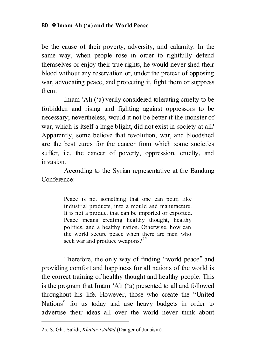#### **80 Imàm Alí ('a) and the World Peace**

be the cause of their poverty, adversity, and calamity. In the same way, when people rose in order to rightfully defend themselves or enjoy their true rights, he would never shed their blood without any reservation or, under the pretext of opposing war, advocating peace, and protecting it, fight them or suppress them.

Imàm 'Alí ('a) verily considered tolerating cruelty to be forbidden and rising and fighting against oppressors to be necessary; nevertheless, would it not be better if the monster of war, which is itself a huge blight, did not exist in society at all? Apparently, some believe that revolution, war, and bloodshed are the best cures for the cancer from which some societies suffer, i.e. the cancer of poverty, oppression, cruelty, and invasion.

According to the Syrian representative at the Bandung Conference:

> Peace is not something that one can pour, like industrial products, into a mould and manufacture. It is not a product that can be imported or exported. Peace means creating healthy thought, healthy politics, and a healthy nation. Otherwise, how can the world secure peace when there are men who seek war and produce weapons? $2^{25}$

Therefore, the only way of finding 'world peace' and providing comfort and happiness for all nations of the world is the correct training of healthy thought and healthy people. This is the program that Imàm 'Alí ('a) presented to all and followed throughout his life. However, those who create the 'United Nations" for us today and use heavy budgets in order to advertise their ideas all over the world never think about

 $\overline{a}$ 

<sup>25.</sup> S. Gh., Sa'idi, *Khatar-i Juhêd* (Danger of Judaism).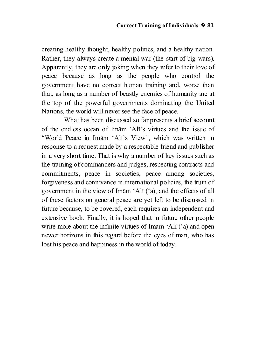creating healthy thought, healthy politics, and a healthy nation. Rather, they always create a mental war (the start of big wars). Apparently, they are only joking when they refer to their love of peace because as long as the people who control the government have no correct human training and, worse than that, as long as a number of beastly enemies of humanity are at the top of the powerful governments dominating the United Nations, the world will never see the face of peace.

What has been discussed so far presents a brief account of the endless ocean of Imàm 'Alí's virtues and the issue of 'World Peace in Imàm 'Alí's View', which was written in response to a request made by a respectable friend and publisher in a very short time. That is why a number of key issues such as the training of commanders and judges, respecting contracts and commitments, peace in societies, peace among societies, forgiveness and connivance in international policies, the truth of government in the view of Imàm 'Alí ('a), and the effects of all of these factors on general peace are yet left to be discussed in future because, to be covered, each requires an independent and extensive book. Finally, it is hoped that in future other people write more about the infinite virtues of Imàm 'Alí ('a) and open newer horizons in this regard before the eyes of man, who has lost his peace and happiness in the world of today.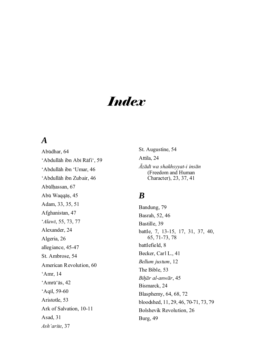# *Index*

# *A*

Abêdhar, 64 'Abdullàh ibn Abí Ràfi', 59 'Abdullàh ibn 'Umar, 46 'Abdullàh ibn Zubair, 46 Abūlhassan, 67 Abū Waqqāş, 45 Adam, 33, 35, 51 Afghanistan, 47 '*Alawí*, 55, 73, 77 Alexander, 24 Algeria, 26 allegiance, 45-47 St. Ambrose, 54 American Revolution, 60 'Amr, 14 'Amrū'ās, 42 'Aqíl, 59-60 Aristotle, 53 Ark of Salvation, 10-11 Asad, 31 *Ash'arite*, 37

St. Augustine, 54 Attila, 24 *Āzàdí wa shakhsyyat-i insàn* (Freedom and Human Character), 23, 37, 41

# *B*

Bandung, 79 Basrah, 52, 46 Bastille, 39 battle, 7, 13-15, 17, 31, 37, 40, 65, 71-73, 78 battlefield, 8 Becker, Carl L., 41 *Bellum justum*, 12 The Bible, 53 *Biåàr al-anwàr*, 45 Bismarck, 24 Blasphemy, 64, 68, 72 bloodshed, 11, 29, 46, 70-71, 73, 79 Bolshevik Revolution, 26 Burg, 49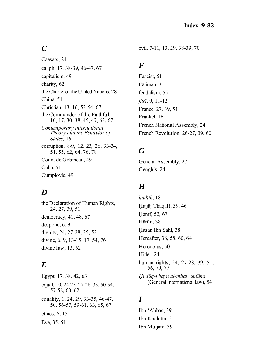#### $\mathcal{C}$

Caesars, 24 caliph, 17, 38-39, 46-47, 67 capitalism, 49 charity, 62 the Charter of the United Nations, 28 China<sub>51</sub> Christian, 13, 16, 53-54, 67 the Commander of the Faithful. 10, 17, 30, 38, 45, 47, 63, 67 Contemporary International Theory and the Behavior of States 16 corruption, 8-9, 12, 23, 26, 33-34, 51, 55, 62, 64, 76, 78 Count de Gobineau, 49 Cuba 51 Cumplovic, 49

#### D

the Declaration of Human Rights, 24, 27, 39, 51 democracy, 41, 48, 67 despotic, 6, 9 dignity, 24, 27-28, 35, 52 divine, 6, 9, 13-15, 17, 54, 76 divine law, 13, 62

#### $\boldsymbol{E}$

Egypt, 17, 38, 42, 63 equal, 10, 24-25, 27-28, 35, 50-54, 57-58, 60, 62 equality, 1, 24, 29, 33-35, 46-47, 50, 56-57, 59-61, 63, 65, 67 ethics, 6, 15 Eve, 35, 51

evil, 7-11, 13, 29, 38-39, 70

#### $\boldsymbol{F}$

Fascist, 51 Fātimah. 31 feudalism. 55 fitrī, 9, 11-12 France, 27, 39, 51 Frankel, 16 French National Assembly, 24 French Revolution, 26-27, 39, 60

#### $\mathcal{C}$

General Assembly, 27 Genghis, 24

#### $\boldsymbol{H}$

hadīth, 18 Hajjāj Thaqafi, 39, 46 Hanif, 52, 67 Hārūn, 38 Hasan Ibn Sahl, 38 Hereafter, 36, 58, 60, 64 Herodotus, 50 Hitler, 24 human rights, 24, 27-28, 39, 51, 56, 70, 77 Huquq-i bayn al-milal 'umumi (General International law), 54

### $\boldsymbol{I}$

Ibn 'Abbās, 39 Ibn Khaldūn, 21 Ibn Muljam, 39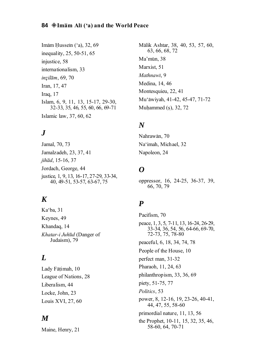Imām Hussein ('a), 32, 69 inequality, 25, 50-51, 65 injustice, 58 internationalism, 33 inzilām, 69, 70 Iran, 17, 47 Iraq, 17 Islam, 6, 9, 11, 13, 15-17, 29-30, 32-33, 35, 46, 55, 60, 66, 69-71 Islamic law, 37, 60, 62

# $\bm{I}$

Jamal, 70, 73 Jamalzadeh, 23, 37, 41 iihād, 15-16, 37 Jordach, George, 44 justice, 1, 9, 13, 16-17, 27-29, 33-34. 40, 49-51, 53-57, 63-67, 75

#### $\boldsymbol{K}$

Ka'ba, 31 Keynes, 49 Khandaq, 14 Khatar-i Juhūd (Danger of Judaism), 79

#### L

Lady Fātimah, 10 League of Nations, 28 Liberalism, 44 Locke, John. 23 Louis XVI, 27, 60

#### $\boldsymbol{M}$

Maine, Henry, 21

Mālik Ashtar, 38, 40, 53, 57, 60, 63, 66, 68, 72 Ma'mūn. 38 Marxist, 51 Mathnawī, 9 Medina, 14, 46 Montesquieu, 22, 41 Mu'āwiyah, 41-42, 45-47, 71-72 Muhammed (s), 32, 72

#### $\boldsymbol{N}$

Nahrawān, 70 Na'imah, Michael, 32 Napoleon, 24

#### $\Omega$

oppressor, 16, 24-25, 36-37, 39, 66, 70, 79

#### $\boldsymbol{p}$

Pacifism, 70 peace, 1, 3, 5, 7-11, 13, 16-24, 26-29, 33-34, 36, 54, 56, 64-66, 69-70, 72-73, 75, 78-80 peaceful, 6, 18, 34, 74, 78 People of the House, 10 perfect man, 31-32 Pharaoh, 11, 24, 63 philanthropism, 33, 36, 69 piety, 51-75, 77 Politics, 53 power, 8, 12-16, 19, 23-26, 40-41, 44, 47, 55, 58-60 primordial nature, 11, 13, 56 the Prophet, 10-11, 15, 32, 35, 46, 58-60, 64, 70-71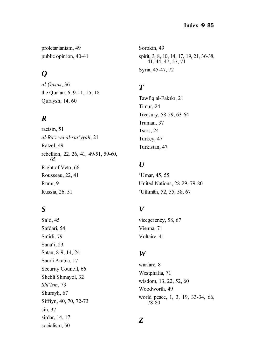proletarianism, 49 public opinion, 40-41

# *Q*

*al-Qaæaæ*, 36 the Qur'an, 6, 9-11, 15, 18 Quraysh, 14, 60

#### *R*

racism, 51 *al-Rà'í wa al-rài'yyah*, 21 Ratzel, 49 rebellion, 22, 26, 41, 49-51, 59-60, 65 Right of Veto, 66 Rousseau, 22, 41 Rêmí, 9 Russia, 26, 51

# *S*

Sa'd, 45 Safdari, 54 Sa'idi, 79 Sana'i, 23 Satan, 8-9, 14, 24 Saudi Arabia, 17 Security Council, 66 Shebli Shmayel, 32 *Shi'ism*, 73 Shurayh, 67 Æiffiyn, 40, 70, 72-73 sin, 37 sirdar, 14, 17 socialism, 50

Sorokin, 49 spirit, 3, 8, 10, 14, 17, 19, 21, 36-38, 41, 44, 47, 57, 71 Syria, 45-47, 72

#### *T*

Tawfíq al-Fakíkí, 21 Timur, 24 Treasury, 58-59, 63-64 Truman, 37 Tsars, 24 Turkey, 47 Turkistan, 47

# *U*

'Umar, 45, 55 United Nations, 28-29, 79-80 'Uthmàn, 52, 55, 58, 67

#### *V*

vicegerency, 58, 67 Vienna, 71 Voltaire, 41

#### *W*

warfare, 8 Westphalia, 71 wisdom, 13, 22, 52, 60 Woodworth, 49 world peace, 1, 3, 19, 33-34, 66, 78-80

#### *Z*